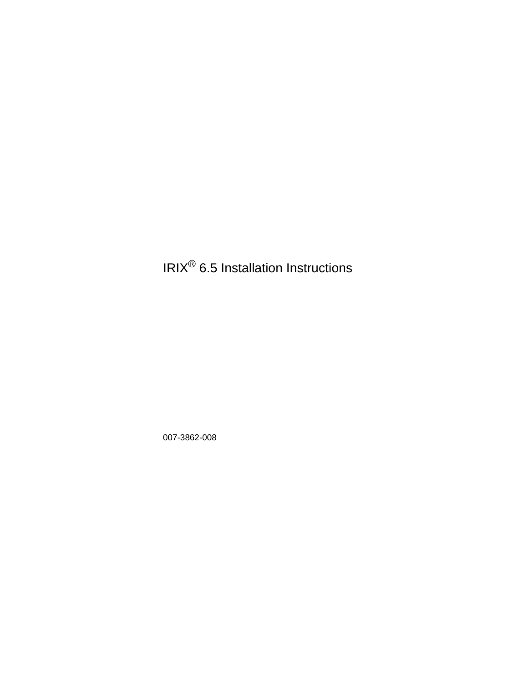# IRIX® 6.5 Installation Instructions

007-3862-008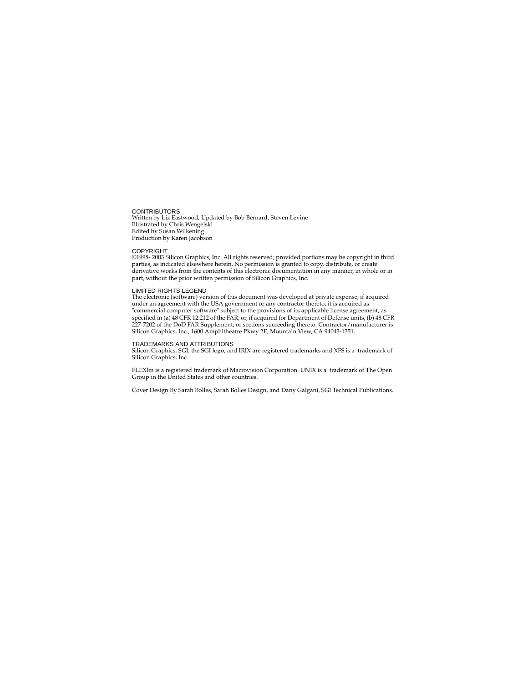CONTRIBUTORS Written by Liz Eastwood, Updated by Bob Bernard, Steven Levine Illustrated by Chris Wengelski Edited by Susan Wilkening Production by Karen Jacobson

#### COPYRIGHT

©1998- 2003 Silicon Graphics, Inc. All rights reserved; provided portions may be copyright in third parties, as indicated elsewhere herein. No permission is granted to copy, distribute, or create derivative works from the contents of this electronic documentation in any manner, in whole or in part, without the prior written permission of Silicon Graphics, Inc.

#### LIMITED RIGHTS LEGEND

The electronic (software) version of this document was developed at private expense; if acquired under an agreement with the USA government or any contractor thereto, it is acquired as "commercial computer software" subject to the provisions of its applicable license agreement, as specified in (a) 48 CFR 12.212 of the FAR; or, if acquired for Department of Defense units, (b) 48 CFR 227-7202 of the DoD FAR Supplement; or sections succeeding thereto. Contractor/manufacturer is Silicon Graphics, Inc., 1600 Amphitheatre Pkwy 2E, Mountain View, CA 94043-1351.

#### TRADEMARKS AND ATTRIBUTIONS

Silicon Graphics, SGI, the SGI logo, and IRIX are registered trademarks and XFS is a trademark of Silicon Graphics, Inc.

FLEXlm is a registered trademark of Macrovision Corporation. UNIX is a trademark of The Open Group in the United States and other countries.

Cover Design By Sarah Bolles, Sarah Bolles Design, and Dany Galgani, SGI Technical Publications.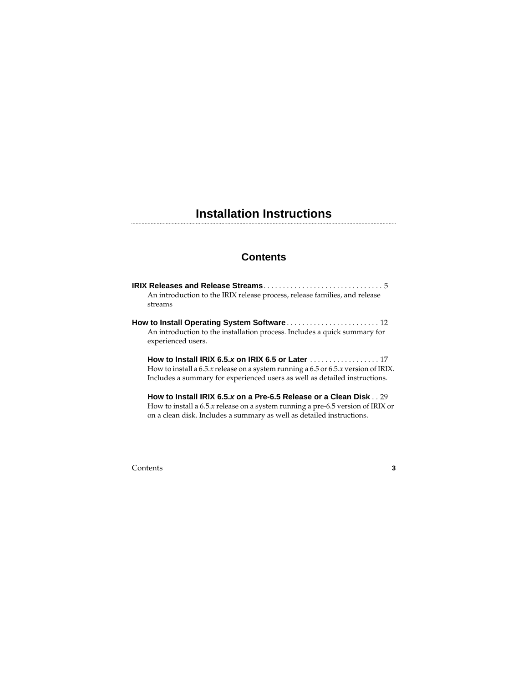#### ................................................................................................................................................................................ **Installation Instructions**

### **Contents**

| An introduction to the IRIX release process, release families, and release<br>streams                                                                                                                                                                            |
|------------------------------------------------------------------------------------------------------------------------------------------------------------------------------------------------------------------------------------------------------------------|
| <b>How to Install Operating System Software</b> 12<br>An introduction to the installation process. Includes a quick summary for<br>experienced users.                                                                                                            |
| How to Install IRIX 6.5.x on IRIX 6.5 or Later $\ldots \ldots \ldots \ldots \ldots 17$<br>How to install a 6.5. $x$ release on a system running a 6.5 or 6.5. $x$ version of IRIX.<br>Includes a summary for experienced users as well as detailed instructions. |

**How to Install IRIX 6.5.x on a Pre-6.5 Release or a Clean Disk** . . 29 How to install a 6.5.*x* release on a system running a pre-6.5 version of IRIX or on a clean disk. Includes a summary as well as detailed instructions.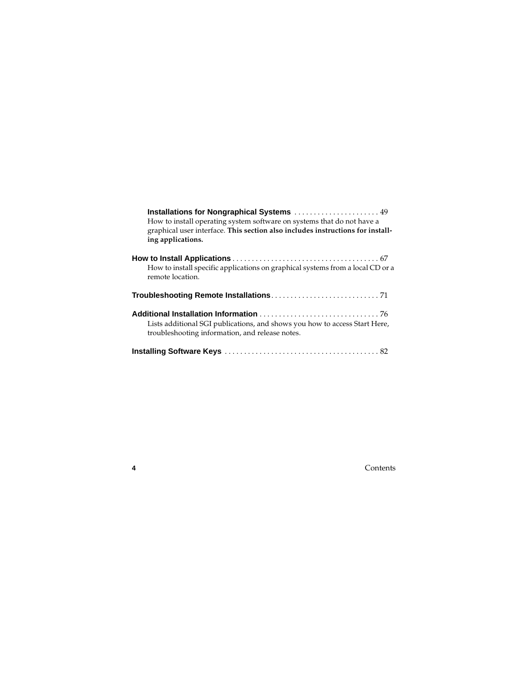| How to install operating system software on systems that do not have a<br>graphical user interface. This section also includes instructions for install-<br>ing applications. |
|-------------------------------------------------------------------------------------------------------------------------------------------------------------------------------|
| How to install specific applications on graphical systems from a local CD or a<br>remote location.                                                                            |
|                                                                                                                                                                               |
| Lists additional SGI publications, and shows you how to access Start Here,<br>troubleshooting information, and release notes.                                                 |
|                                                                                                                                                                               |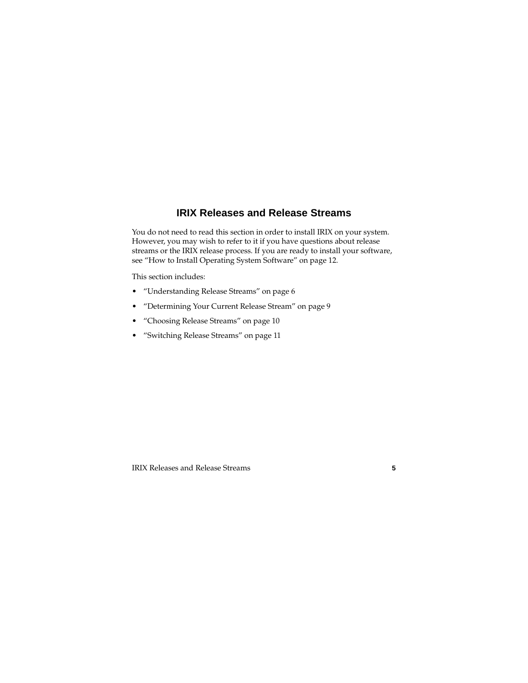# **IRIX Releases and Release Streams**

You do not need to read this section in order to install IRIX on your system. However, you may wish to refer to it if you have questions about release streams or the IRIX release process. If you are ready to install your software, see ["How to Install Operating System Software" on page 12](#page-11-0).

This section includes:

- • ["Understanding Release Streams" on page 6](#page-5-0)
- • ["Determining Your Current Release Stream" on page 9](#page-8-0)
- • ["Choosing Release Streams" on page 10](#page-9-0)
- • ["Switching Release Streams" on page 11](#page-10-0)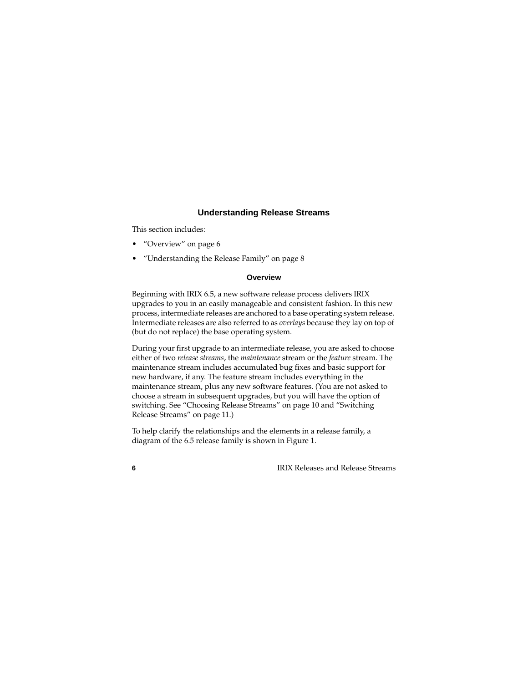#### **Understanding Release Streams**

<span id="page-5-0"></span>This section includes:

- • ["Overview" on page 6](#page-5-1)
- • ["Understanding the Release Family" on page 8](#page-7-0)

#### **Overview**

<span id="page-5-1"></span>Beginning with IRIX 6.5, a new software release process delivers IRIX upgrades to you in an easily manageable and consistent fashion. In this new process, intermediate releases are anchored to a base operating system release. Intermediate releases are also referred to as *overlays* because they lay on top of (but do not replace) the base operating system.

During your first upgrade to an intermediate release, you are asked to choose either of two *release streams*, the *maintenance* stream or the *feature* stream. The maintenance stream includes accumulated bug fixes and basic support for new hardware, if any. The feature stream includes everything in the maintenance stream, plus any new software features. (You are not asked to choose a stream in subsequent upgrades, but you will have the option of switching. See ["Choosing Release Streams" on page 10](#page-9-0) and ["Switching](#page-10-0)  [Release Streams" on page 11.](#page-10-0))

To help clarify the relationships and the elements in a release family, a diagram of the 6.5 release family is shown in [Figure 1.](#page-6-0)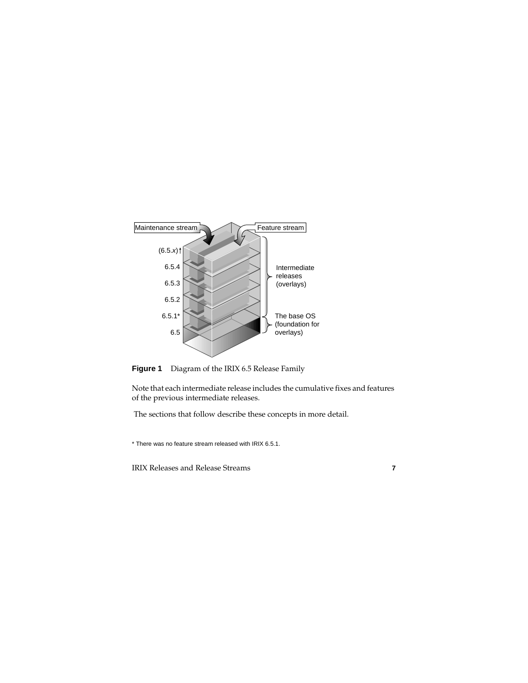

<span id="page-6-0"></span>

Note that each intermediate release includes the cumulative fixes and features of the previous intermediate releases.

The sections that follow describe these concepts in more detail.

\* There was no feature stream released with IRIX 6.5.1.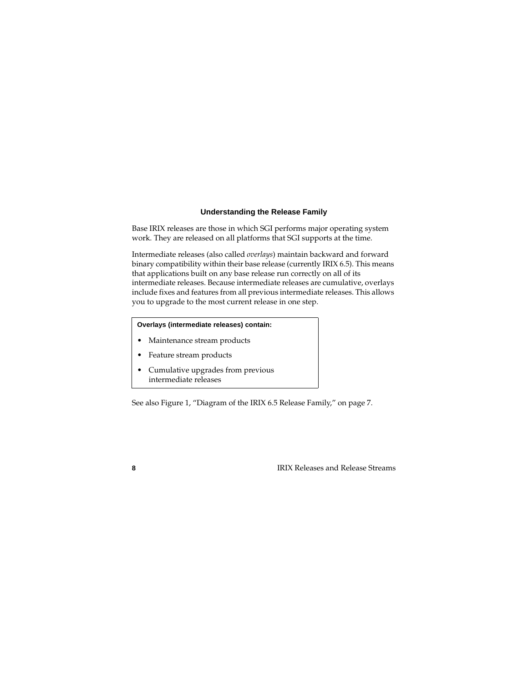#### **Understanding the Release Family**

<span id="page-7-0"></span>Base IRIX releases are those in which SGI performs major operating system work. They are released on all platforms that SGI supports at the time.

Intermediate releases (also called *overlays*) maintain backward and forward binary compatibility within their base release (currently IRIX 6.5). This means that applications built on any base release run correctly on all of its intermediate releases. Because intermediate releases are cumulative, overlays include fixes and features from all previous intermediate releases. This allows you to upgrade to the most current release in one step.

#### **Overlays (intermediate releases) contain:**

- Maintenance stream products
- Feature stream products
- Cumulative upgrades from previous intermediate releases

See also [Figure 1](#page-6-0), "Diagram of the IRIX 6.5 Release Family," on [page 7](#page-6-0).

**8** IRIX Releases and Release Streams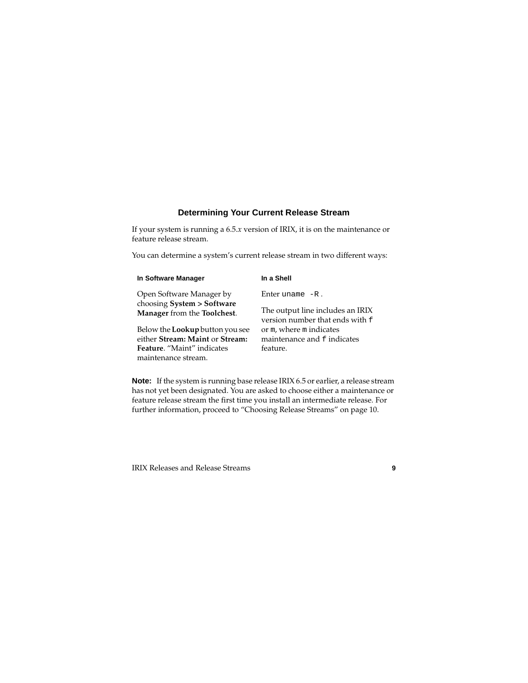### **Determining Your Current Release Stream**

<span id="page-8-0"></span>If your system is running a 6.5.*x* version of IRIX, it is on the maintenance or feature release stream.

You can determine a system's current release stream in two different ways:

| In Software Manager                                       | In a Shell                                                          |
|-----------------------------------------------------------|---------------------------------------------------------------------|
| Open Software Manager by                                  | Enter uname $-R$ .                                                  |
| choosing System > Software<br>Manager from the Toolchest. | The output line includes an IRIX<br>version number that ends with f |
| Below the <b>Lookup</b> button you see                    | or m, where m indicates                                             |
| either Stream: Maint or Stream:                           | maintenance and f indicates                                         |
| Feature. "Maint" indicates                                | feature.                                                            |
| maintenance stream.                                       |                                                                     |

**Note:** If the system is running base release IRIX 6.5 or earlier, a release stream has not yet been designated. You are asked to choose either a maintenance or feature release stream the first time you install an intermediate release. For further information, proceed to ["Choosing Release Streams" on page 10](#page-9-0).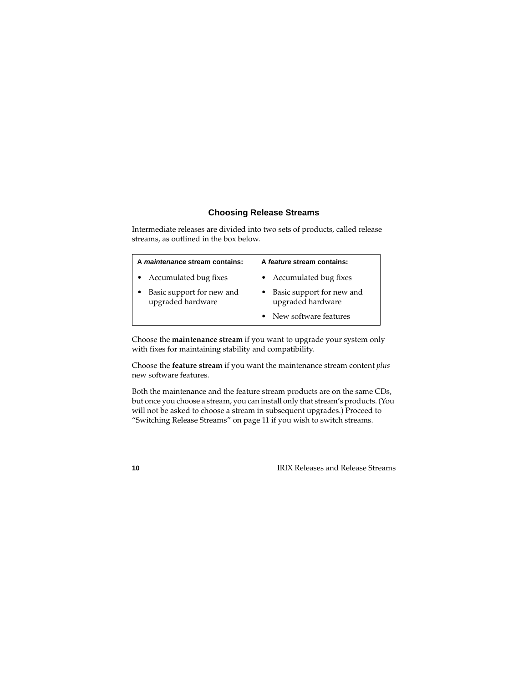### **Choosing Release Streams**

<span id="page-9-0"></span>Intermediate releases are divided into two sets of products, called release streams, as outlined in the box below.

| A maintenance stream contains:                 | A feature stream contains:                       |
|------------------------------------------------|--------------------------------------------------|
| • Accumulated bug fixes                        | • Accumulated bug fixes                          |
| Basic support for new and<br>upgraded hardware | • Basic support for new and<br>upgraded hardware |
|                                                | • New software features                          |

Choose the **maintenance stream** if you want to upgrade your system only with fixes for maintaining stability and compatibility.

Choose the **feature stream** if you want the maintenance stream content *plus* new software features.

Both the maintenance and the feature stream products are on the same CDs, but once you choose a stream, you can install only that stream's products. (You will not be asked to choose a stream in subsequent upgrades.) Proceed to ["Switching Release Streams" on page 11](#page-10-0) if you wish to switch streams.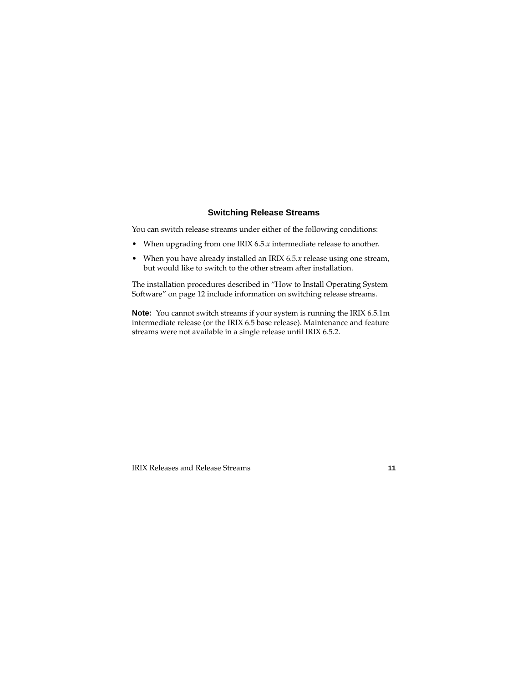### **Switching Release Streams**

<span id="page-10-0"></span>You can switch release streams under either of the following conditions:

- When upgrading from one IRIX 6.5.*x* intermediate release to another.
- When you have already installed an IRIX 6.5.*x* release using one stream, but would like to switch to the other stream after installation.

The installation procedures described in ["How to Install Operating System](#page-11-0)  [Software" on page 12](#page-11-0) include information on switching release streams.

**Note:** You cannot switch streams if your system is running the IRIX 6.5.1m intermediate release (or the IRIX 6.5 base release). Maintenance and feature streams were not available in a single release until IRIX 6.5.2.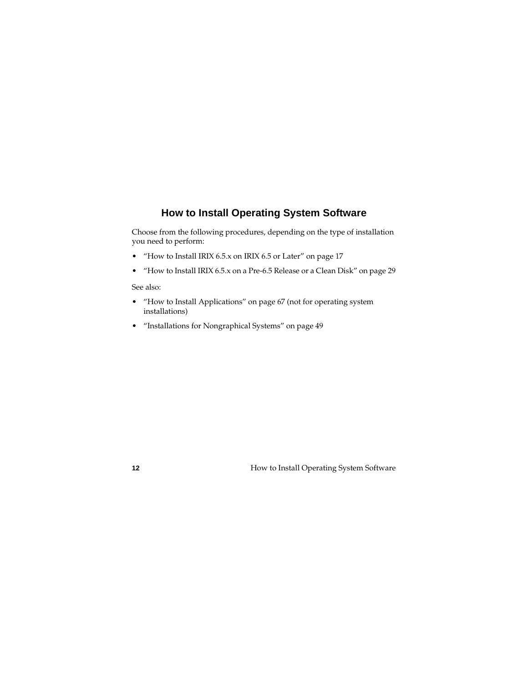# **How to Install Operating System Software**

<span id="page-11-0"></span>Choose from the following procedures, depending on the type of installation you need to perform:

- • ["How to Install IRIX 6.5.x on IRIX 6.5 or Later" on page 17](#page-16-0)
- • ["How to Install IRIX 6.5.x on a Pre-6.5 Release or a Clean Disk" on page 29](#page-28-0)

See also:

- • ["How to Install Applications" on page 67](#page-66-0) (not for operating system installations)
- • ["Installations for Nongraphical Systems" on page 49](#page-48-0)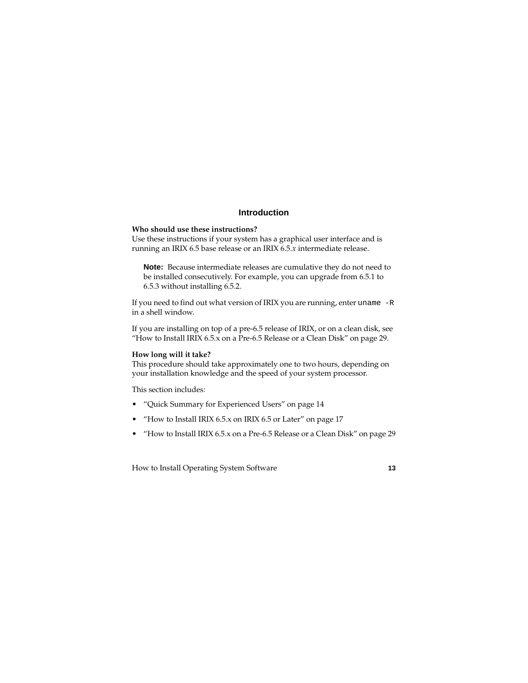### **Introduction**

#### **Who should use these instructions?**

Use these instructions if your system has a graphical user interface and is running an IRIX 6.5 base release or an IRIX 6.5*.x* intermediate release.

**Note:** Because intermediate releases are cumulative they do not need to be installed consecutively. For example, you can upgrade from 6.5.1 to 6.5.3 without installing 6.5.2.

If you need to find out what version of IRIX you are running, enter uname -R in a shell window.

If you are installing on top of a pre-6.5 release of IRIX, or on a clean disk, see ["How to Install IRIX 6.5.x on a Pre-6.5 Release or a Clean Disk" on page 29.](#page-28-0)

#### **How long will it take?**

This procedure should take approximately one to two hours, depending on your installation knowledge and the speed of your system processor.

This section includes:

- • ["Quick Summary for Experienced Users" on page 14](#page-13-0)
- • ["How to Install IRIX 6.5.x on IRIX 6.5 or Later" on page 17](#page-16-0)
- • ["How to Install IRIX 6.5.x on a Pre-6.5 Release or a Clean Disk" on page 29](#page-28-0)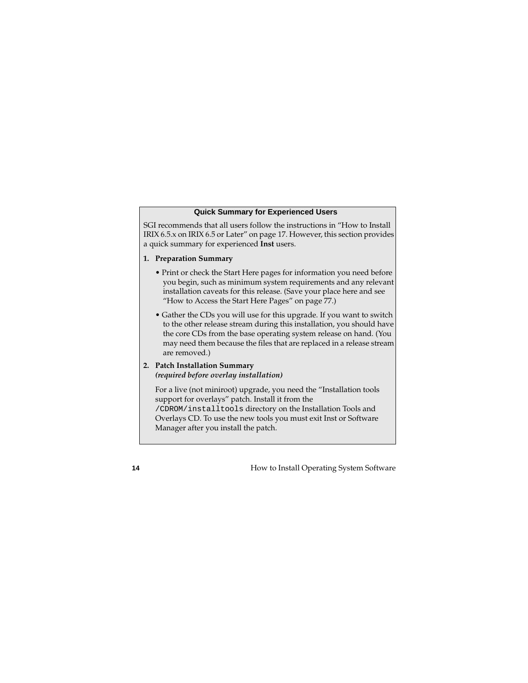#### **Quick Summary for Experienced Users**

<span id="page-13-0"></span>SGI recommends that all users follow the instructions in ["How to Install](#page-16-0)  [IRIX 6.5.x on IRIX 6.5 or Later" on page 17](#page-16-0). However, this section provides a quick summary for experienced **Inst** users.

#### **1. Preparation Summary**

- Print or check the Start Here pages for information you need before you begin, such as minimum system requirements and any relevant installation caveats for this release. (Save your place here and see ["How to Access the Start Here Pages" on page 77.](#page-76-0))
- Gather the CDs you will use for this upgrade. If you want to switch to the other release stream during this installation, you should have the core CDs from the base operating system release on hand. (You may need them because the files that are replaced in a release stream are removed.)
- **2. Patch Installation Summary**  *(required before overlay installation)*

For a live (not miniroot) upgrade, you need the "Installation tools support for overlays" patch. Install it from the /CDROM/installtools directory on the Installation Tools and Overlays CD. To use the new tools you must exit Inst or Software Manager after you install the patch.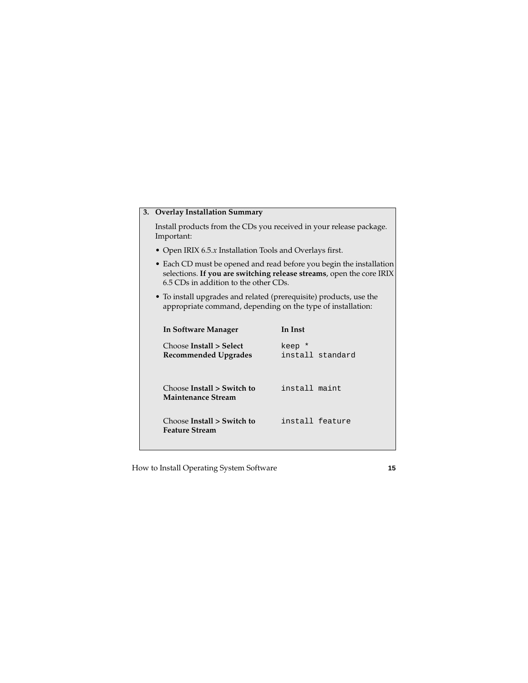#### **3. Overlay Installation Summary**

Install products from the CDs you received in your release package. Important:

- Open IRIX 6.5.*x* Installation Tools and Overlays first.
- Each CD must be opened and read before you begin the installation selections. **If you are switching release streams**, open the core IRIX 6.5 CDs in addition to the other CDs.
- To install upgrades and related (prerequisite) products, use the appropriate command, depending on the type of installation:

| In Software Manager                                 | In Inst                    |
|-----------------------------------------------------|----------------------------|
| Choose Install > Select<br>Recommended Upgrades     | keep *<br>install standard |
| Choose Install > Switch to<br>Maintenance Stream    | install maint              |
| Choose Install > Switch to<br><b>Feature Stream</b> | install feature            |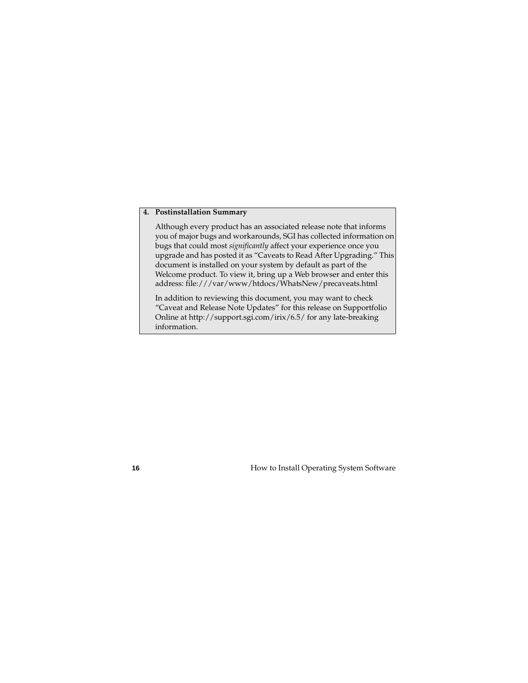#### **4. Postinstallation Summary**

Although every product has an associated release note that informs you of major bugs and workarounds, SGI has collected information on bugs that could most *significantly* affect your experience once you upgrade and has posted it as "Caveats to Read After Upgrading." This document is installed on your system by default as part of the Welcome product. To view it, bring up a Web browser and enter this address: file:///var/www/htdocs/WhatsNew/precaveats.html

In addition to reviewing this document, you may want to check "Caveat and Release Note Updates" for this release on Supportfolio Online at http://support.sgi.com/irix/6.5/ for any late-breaking information.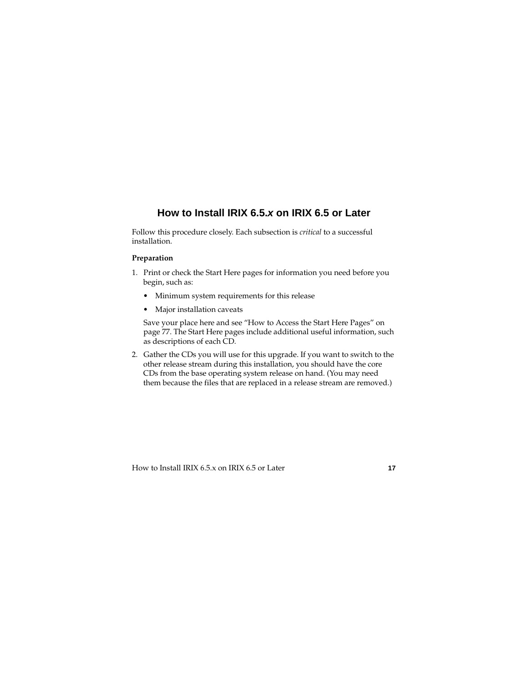# **How to Install IRIX 6.5.x on IRIX 6.5 or Later**

<span id="page-16-0"></span>Follow this procedure closely. Each subsection is *critical* to a successful installation.

#### **Preparation**

- 1. Print or check the Start Here pages for information you need before you begin, such as:
	- Minimum system requirements for this release
	- Major installation caveats

Save your place here and see ["How to Access the Start Here Pages" on](#page-76-0)  [page 77.](#page-76-0) The Start Here pages include additional useful information, such as descriptions of each CD.

2. Gather the CDs you will use for this upgrade. If you want to switch to the other release stream during this installation, you should have the core CDs from the base operating system release on hand. (You may need them because the files that are replaced in a release stream are removed.)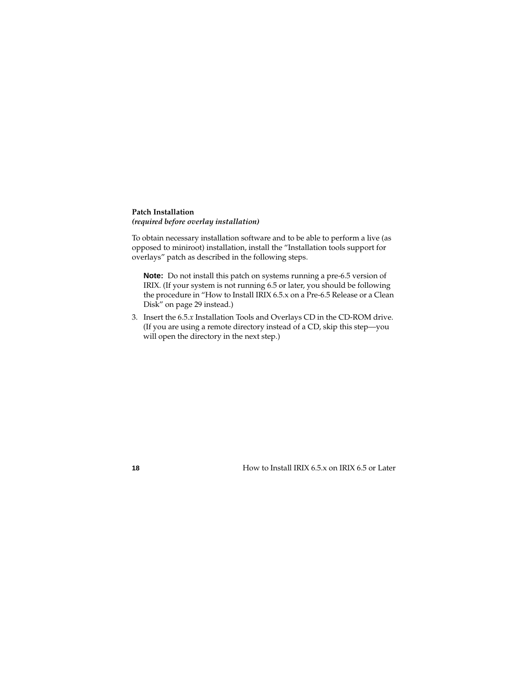#### **Patch Installation** *(required before overlay installation)*

To obtain necessary installation software and to be able to perform a live (as opposed to miniroot) installation, install the "Installation tools support for overlays" patch as described in the following steps.

**Note:** Do not install this patch on systems running a pre-6.5 version of IRIX. (If your system is not running 6.5 or later, you should be following the procedure in ["How to Install IRIX 6.5.x on a Pre-6.5 Release or a Clean](#page-28-0)  [Disk" on page 29](#page-28-0) instead.)

3. Insert the 6.5.*x* Installation Tools and Overlays CD in the CD-ROM drive. (If you are using a remote directory instead of a CD, skip this step—you will open the directory in the next step.)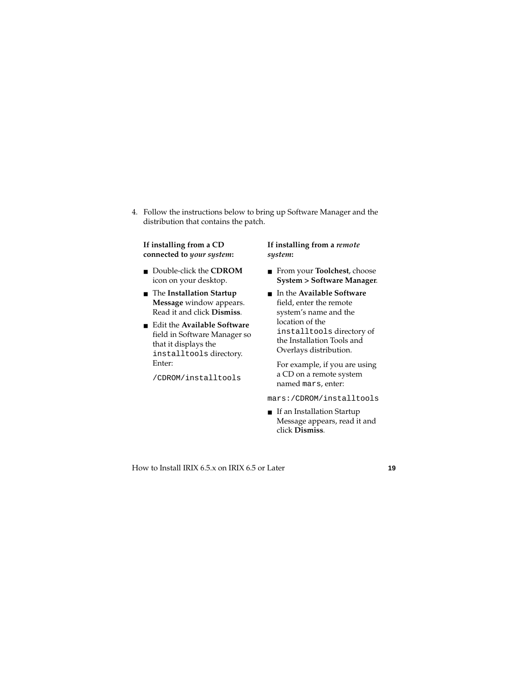4. Follow the instructions below to bring up Software Manager and the distribution that contains the patch.

#### **If installing from a CD connected to** *your system***:**

- Double-click the **CDROM** icon on your desktop.
- The **Installation Startup Message** window appears. Read it and click **Dismiss***.*
- Edit the **Available Software** field in Software Manager so that it displays the installtools directory. Enter:

/CDROM/installtools

#### **If installing from a** *remote system***:**

- From your **Toolchest**, choose **System > Software Manager**.
- In the **Available Software** field, enter the remote system's name and the location of the installtools directory of the Installation Tools and Overlays distribution.

For example, if you are using a CD on a remote system named mars, enter:

mars:/CDROM/installtools

■ If an Installation Startup Message appears, read it and click **Dismiss***.*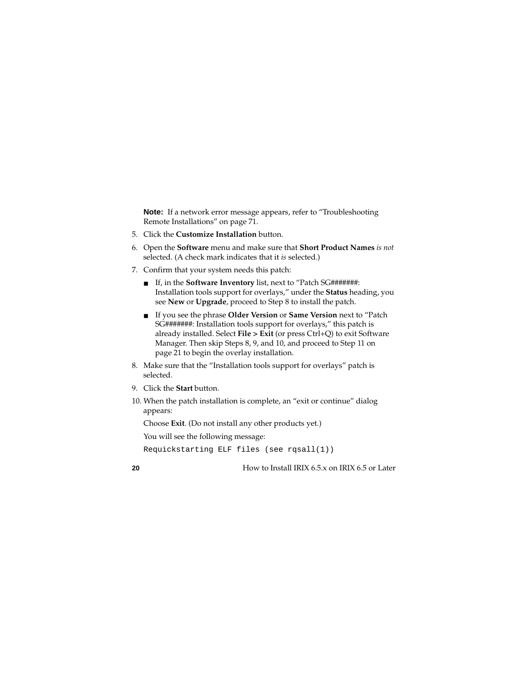**Note:** If a network error message appears, refer to ["Troubleshooting](#page-70-0)  [Remote Installations" on page 71](#page-70-0).

- 5. Click the **Customize Installation** button.
- 6. Open the **Software** menu and make sure that **Short Product Names** *is not* selected. (A check mark indicates that it *is* selected.)
- 7. Confirm that your system needs this patch:
	- If, in the **Software Inventory** list, next to "Patch SG*#######*: Installation tools support for overlays," under the **Status** heading, you see **New** or **Upgrade**, proceed to Step 8 to install the patch.
	- If you see the phrase **Older Version** or **Same Version** next to "Patch SG*#######*: Installation tools support for overlays," this patch is already installed. Select **File > Exit** (or press Ctrl+Q) to exit Software Manager. Then skip Steps 8, 9, and 10, and proceed to Step 11 on [page 21](#page-20-0) to begin the overlay installation.
- 8. Make sure that the "Installation tools support for overlays" patch is selected.
- 9. Click the **Start** button.
- 10. When the patch installation is complete, an "exit or continue" dialog appears:

Choose **Exit**. (Do not install any other products yet.)

You will see the following message:

Requickstarting ELF files (see rqsall(1))

**20** How to Install IRIX 6.5.x on IRIX 6.5 or Later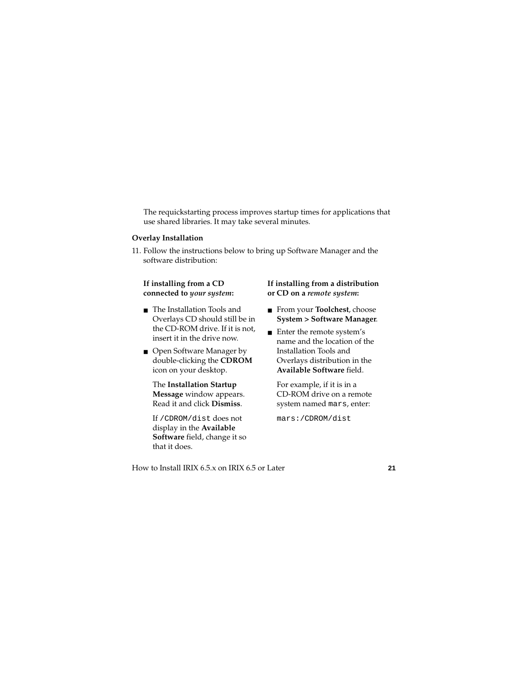The requickstarting process improves startup times for applications that use shared libraries. It may take several minutes.

#### **Overlay Installation**

<span id="page-20-0"></span>11. Follow the instructions below to bring up Software Manager and the software distribution:

#### **If installing from a CD connected to** *your system***:**

- The Installation Tools and Overlays CD should still be in the CD-ROM drive. If it is not, insert it in the drive now.
- Open Software Manager by double-clicking the **CDROM** icon on your desktop.

The **Installation Startup Message** window appears. Read it and click **Dismiss**.

If /CDROM/dist does not display in the **Available Software** field, change it so that it does.

#### **If installing from a distribution or CD on a** *remote system***:**

- From your **Toolchest**, choose **System > Software Manager**.
- Enter the remote system's name and the location of the Installation Tools and Overlays distribution in the **Available Software** field.

For example, if it is in a CD-ROM drive on a remote system named mars, enter:

mars:/CDROM/dist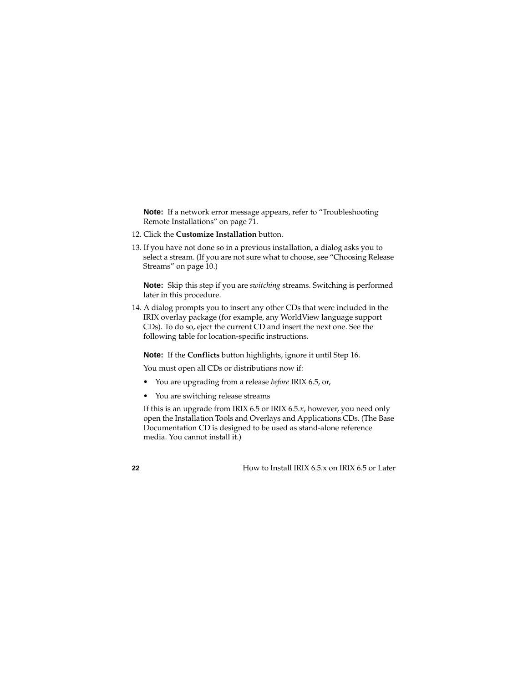**Note:** If a network error message appears, refer to "Troubleshooting [Remote Installations" on page 71](#page-70-0).

- 12. Click the **Customize Installation** button.
- 13. If you have not done so in a previous installation, a dialog asks you to select a stream. (If you are not sure what to choose, see ["Choosing Release](#page-9-0)  [Streams" on page 10](#page-9-0).)

**Note:** Skip this step if you are *switching* streams. Switching is performed later in this procedure.

14. A dialog prompts you to insert any other CDs that were included in the IRIX overlay package (for example, any WorldView language support CDs). To do so, eject the current CD and insert the next one. See the following table for location-specific instructions.

**Note:** If the **Conflicts** button highlights, ignore it until Step 16.

You must open all CDs or distributions now if:

- You are upgrading from a release *before* IRIX 6.5, or,
- You are switching release streams

If this is an upgrade from IRIX 6.5 or IRIX 6.5.*x*, however, you need only open the Installation Tools and Overlays and Applications CDs. (The Base Documentation CD is designed to be used as stand-alone reference media. You cannot install it.)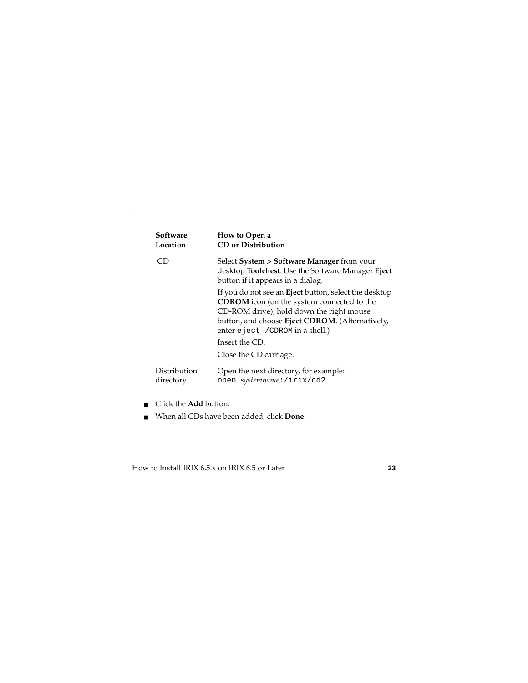<span id="page-22-0"></span>

| Software     | How to Open a                                                                                                                                                                                                                                                                             |
|--------------|-------------------------------------------------------------------------------------------------------------------------------------------------------------------------------------------------------------------------------------------------------------------------------------------|
| Location     | <b>CD</b> or Distribution                                                                                                                                                                                                                                                                 |
| ח־           | Select System > Software Manager from your<br>desktop Toolchest. Use the Software Manager Eject<br>button if it appears in a dialog.                                                                                                                                                      |
|              | If you do not see an Eject button, select the desktop<br><b>CDROM</b> icon (on the system connected to the<br>CD-ROM drive), hold down the right mouse<br>button, and choose Eject CDROM. (Alternatively,<br>enter eject / CDROM in a shell.)<br>Insert the CD.<br>Close the CD carriage. |
| Distribution | Open the next directory, for example:                                                                                                                                                                                                                                                     |
| directory    | open systemname: /irix/cd2                                                                                                                                                                                                                                                                |

■ Click the **Add** button.

.

■ When all CDs have been added, click **Done**.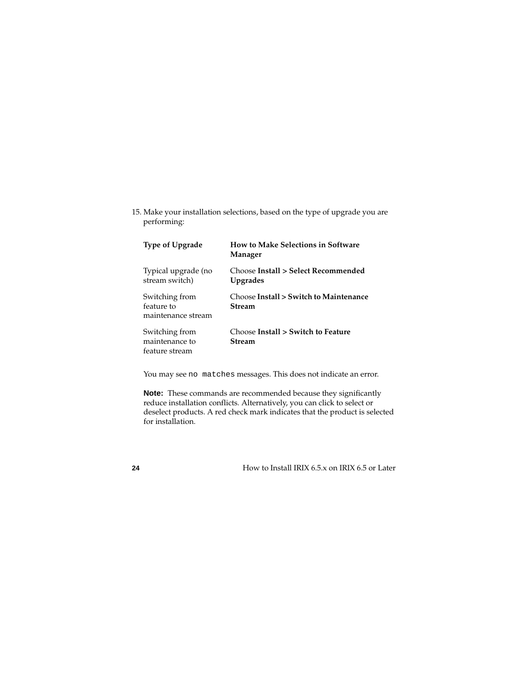<span id="page-23-0"></span>15. Make your installation selections, based on the type of upgrade you are performing:

| <b>Type of Upgrade</b>                             | <b>How to Make Selections in Software</b><br>Manager    |
|----------------------------------------------------|---------------------------------------------------------|
| Typical upgrade (no<br>stream switch)              | Choose Install > Select Recommended<br><b>Upgrades</b>  |
| Switching from<br>feature to<br>maintenance stream | Choose Install > Switch to Maintenance<br><b>Stream</b> |
| Switching from<br>maintenance to<br>feature stream | Choose Install > Switch to Feature<br><b>Stream</b>     |

You may see no matches messages. This does not indicate an error.

**Note:** These commands are recommended because they significantly reduce installation conflicts. Alternatively, you can click to select or deselect products. A red check mark indicates that the product is selected for installation.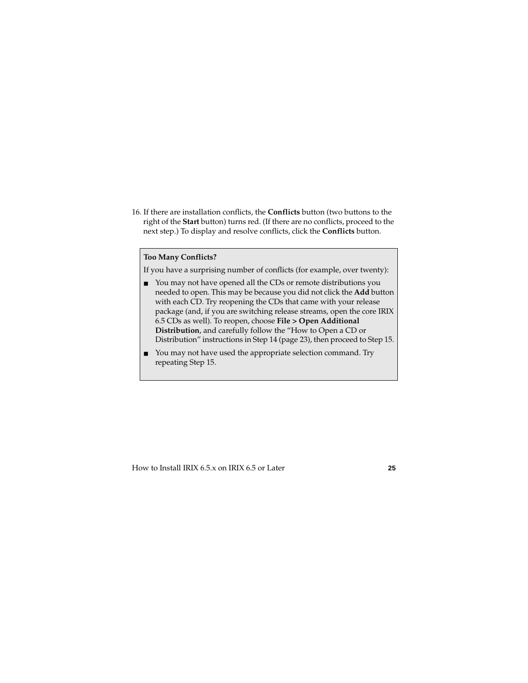16. If there are installation conflicts, the **Conflicts** button (two buttons to the right of the **Start** button) turns red. (If there are no conflicts, proceed to the next step.) To display and resolve conflicts, click the **Conflicts** button.

#### **Too Many Conflicts?**

If you have a surprising number of conflicts (for example, over twenty):

- You may not have opened all the CDs or remote distributions you needed to open. This may be because you did not click the **Add** button with each CD. Try reopening the CDs that came with your release package (and, if you are switching release streams, open the core IRIX 6.5 CDs as well). To reopen, choose **File > Open Additional Distribution**, and carefully follow the "How to Open a CD or Distribution" instructions in Step 14 [\(page 23\)](#page-22-0), then proceed to Step 15.
- You may not have used the appropriate selection command. Try repeating Step 15.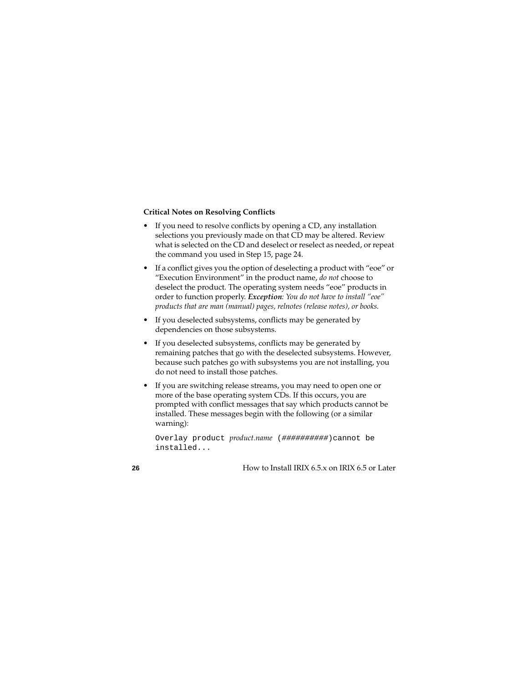#### **Critical Notes on Resolving Conflicts**

- If you need to resolve conflicts by opening a CD, any installation selections you previously made on that CD may be altered. Review what is selected on the CD and deselect or reselect as needed, or repeat the command you used in Step 15, [page 24.](#page-23-0)
- If a conflict gives you the option of deselecting a product with "eoe" or "Execution Environment" in the product name, *do not* choose to deselect the product. The operating system needs "eoe" products in order to function properly. *Exception: You do not have to install "eoe" products that are man (manual) pages, relnotes (release notes), or books.*
- If you deselected subsystems, conflicts may be generated by dependencies on those subsystems.
- If you deselected subsystems, conflicts may be generated by remaining patches that go with the deselected subsystems. However, because such patches go with subsystems you are not installing, you do not need to install those patches.
- If you are switching release streams, you may need to open one or more of the base operating system CDs. If this occurs, you are prompted with conflict messages that say which products cannot be installed. These messages begin with the following (or a similar warning):

Overlay product *product.name* (##########)cannot be installed...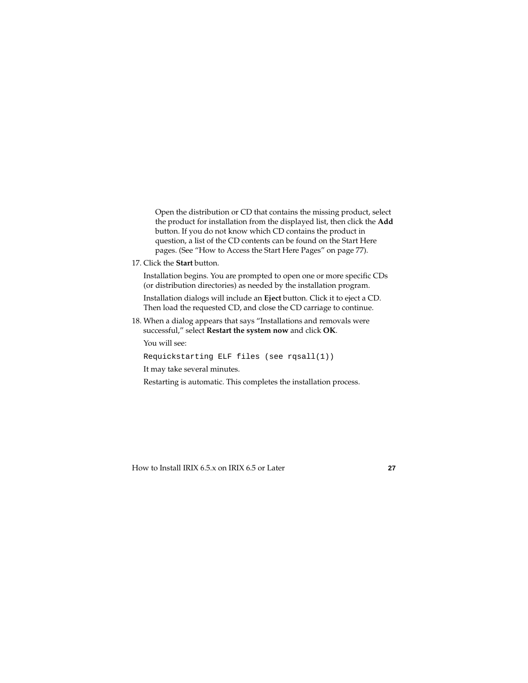Open the distribution or CD that contains the missing product, select the product for installation from the displayed list, then click the **Add** button. If you do not know which CD contains the product in question, a list of the CD contents can be found on the Start Here pages. (See ["How to Access the Start Here Pages" on page 77\)](#page-76-0).

17. Click the **Start** button.

Installation begins. You are prompted to open one or more specific CDs (or distribution directories) as needed by the installation program.

Installation dialogs will include an **Eject** button. Click it to eject a CD. Then load the requested CD, and close the CD carriage to continue.

18. When a dialog appears that says "Installations and removals were successful," select **Restart the system now** and click **OK**.

You will see:

```
Requickstarting ELF files (see rqsall(1))
```
It may take several minutes.

Restarting is automatic. This completes the installation process.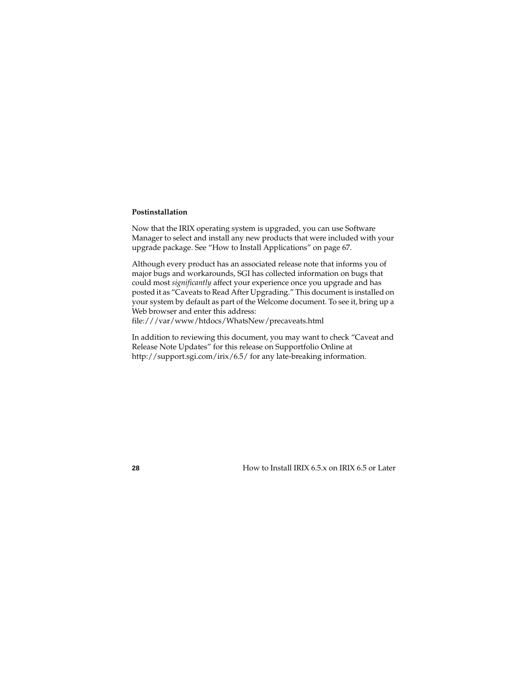#### **Postinstallation**

Now that the IRIX operating system is upgraded, you can use Software Manager to select and install any new products that were included with your upgrade package. See ["How to Install Applications" on page 67.](#page-66-0)

Although every product has an associated release note that informs you of major bugs and workarounds, SGI has collected information on bugs that could most *significantly* affect your experience once you upgrade and has posted it as "Caveats to Read After Upgrading." This document is installed on your system by default as part of the Welcome document. To see it, bring up a Web browser and enter this address:

file:///var/www/htdocs/WhatsNew/precaveats.html

In addition to reviewing this document, you may want to check "Caveat and Release Note Updates" for this release on Supportfolio Online at http://support.sgi.com/irix/6.5/ for any late-breaking information.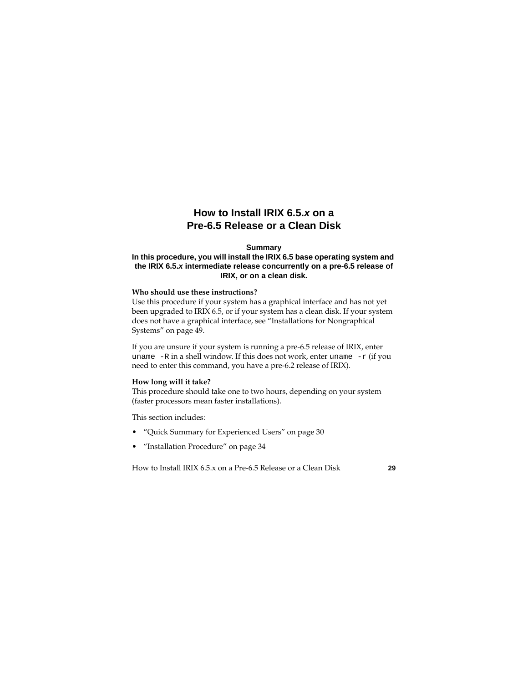## **How to Install IRIX 6.5.x on a Pre-6.5 Release or a Clean Disk**

#### **Summary**

#### <span id="page-28-0"></span>**In this procedure, you will install the IRIX 6.5 base operating system and the IRIX 6.5.x intermediate release concurrently on a pre-6.5 release of IRIX, or on a clean disk.**

#### **Who should use these instructions?**

Use this procedure if your system has a graphical interface and has not yet been upgraded to IRIX 6.5, or if your system has a clean disk. If your system does not have a graphical interface, see ["Installations for Nongraphical](#page-48-0)  [Systems" on page 49](#page-48-0).

If you are unsure if your system is running a pre-6.5 release of IRIX, enter uname  $-R$  in a shell window. If this does not work, enter uname  $-r$  (if you need to enter this command, you have a pre-6.2 release of IRIX).

#### **How long will it take?**

This procedure should take one to two hours, depending on your system (faster processors mean faster installations).

This section includes:

- • ["Quick Summary for Experienced Users" on page 30](#page-29-0)
- • ["Installation Procedure" on page 34](#page-33-0)

How to Install IRIX 6.5.x on a Pre-6.5 Release or a Clean Disk **29**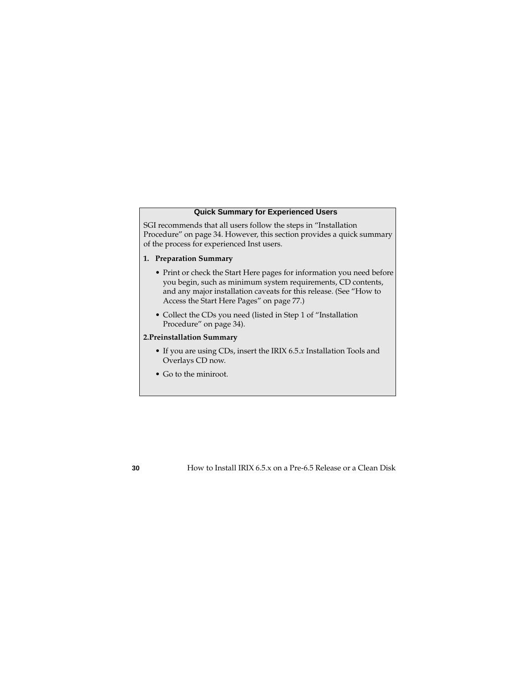#### **Quick Summary for Experienced Users**

<span id="page-29-0"></span>SGI recommends that all users follow the steps in ["Installation](#page-33-0)  [Procedure" on page 34.](#page-33-0) However, this section provides a quick summary of the process for experienced Inst users.

#### **1. Preparation Summary**

- Print or check the Start Here pages for information you need before you begin, such as minimum system requirements, CD contents, and any major installation caveats for this release. (See ["How to](#page-76-0)  [Access the Start Here Pages" on page 77](#page-76-0).)
- Collect the CDs you need (listed in Step 1 of ["Installation](#page-33-0)  [Procedure" on page 34](#page-33-0)).

#### **2.Preinstallation Summary**

- If you are using CDs, insert the IRIX 6.5.*x* Installation Tools and Overlays CD now.
- Go to the miniroot.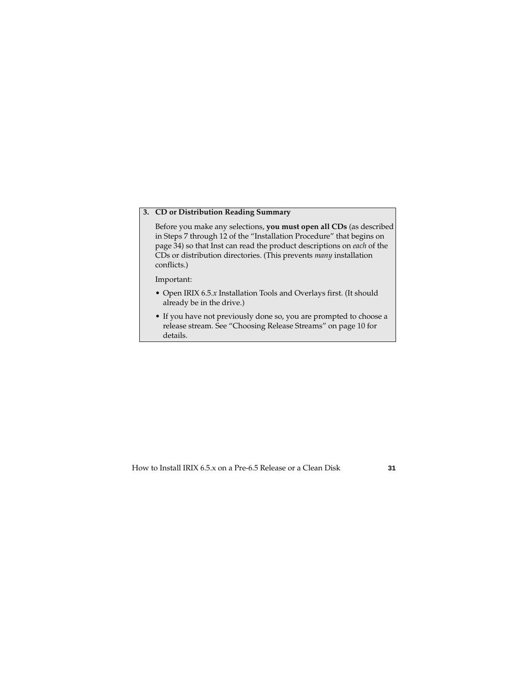#### **3. CD or Distribution Reading Summary**

Before you make any selections, **you must open all CDs** (as described in Steps 7 through 12 of the ["Installation Procedure"](#page-33-0) that begins on [page 34\)](#page-33-0) so that Inst can read the product descriptions on *each* of the CDs or distribution directories. (This prevents *many* installation conflicts.)

Important:

- Open IRIX 6.5.*x* Installation Tools and Overlays first. (It should already be in the drive.)
- If you have not previously done so, you are prompted to choose a release stream. See ["Choosing Release Streams" on page 10](#page-9-0) for details.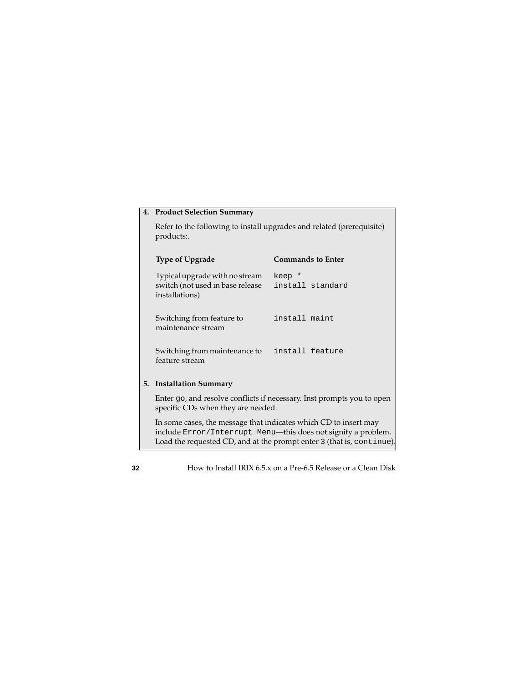|    | 4. Product Selection Summary                                                         |                            |  |
|----|--------------------------------------------------------------------------------------|----------------------------|--|
|    | Refer to the following to install upgrades and related (prerequisite)<br>products:.  |                            |  |
|    | <b>Type of Upgrade</b>                                                               | <b>Commands to Enter</b>   |  |
|    | Typical upgrade with no stream<br>switch (not used in base release<br>installations) | keep *<br>install standard |  |
|    | Switching from feature to<br>maintenance stream                                      | install maint              |  |
|    | Switching from maintenance to<br>feature stream                                      | install feature            |  |
| 5. | <b>Installation Summary</b>                                                          |                            |  |

Enter go, and resolve conflicts if necessary. Inst prompts you to open specific CDs when they are needed.

In some cases, the message that indicates which CD to insert may include Error/Interrupt Menu—this does not signify a problem. Load the requested CD, and at the prompt enter 3 (that is, continue).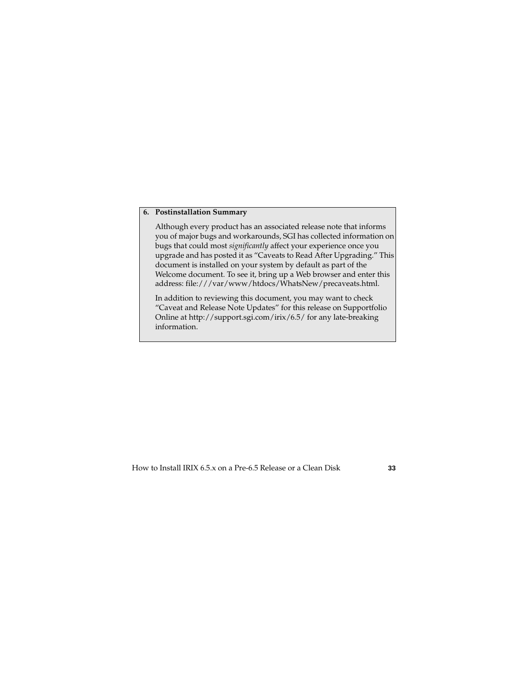#### **6. Postinstallation Summary**

Although every product has an associated release note that informs you of major bugs and workarounds, SGI has collected information on bugs that could most *significantly* affect your experience once you upgrade and has posted it as "Caveats to Read After Upgrading." This document is installed on your system by default as part of the Welcome document. To see it, bring up a Web browser and enter this address: file:///var/www/htdocs/WhatsNew/precaveats.html.

In addition to reviewing this document, you may want to check "Caveat and Release Note Updates" for this release on Supportfolio Online at http://support.sgi.com/irix/6.5/ for any late-breaking information.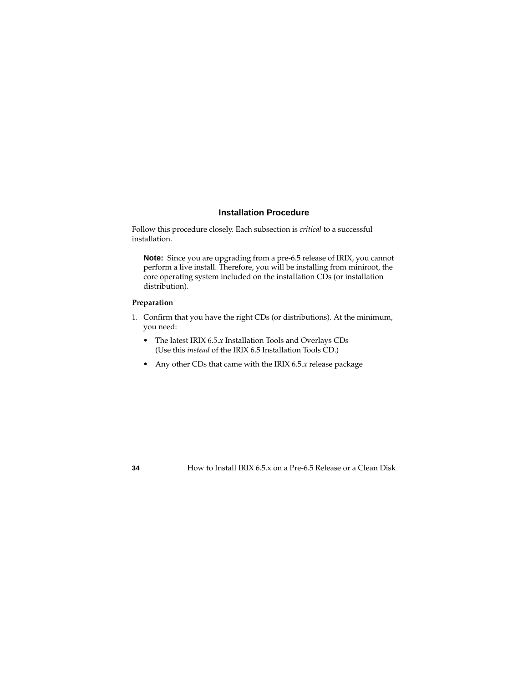#### **Installation Procedure**

<span id="page-33-0"></span>Follow this procedure closely. Each subsection is *critical* to a successful installation.

**Note:** Since you are upgrading from a pre-6.5 release of IRIX, you cannot perform a live install. Therefore, you will be installing from miniroot, the core operating system included on the installation CDs (or installation distribution).

#### **Preparation**

- 1. Confirm that you have the right CDs (or distributions). At the minimum, you need:
	- The latest IRIX 6.5.*x* Installation Tools and Overlays CDs (Use this *instead* of the IRIX 6.5 Installation Tools CD.)
	- Any other CDs that came with the IRIX 6.5.*x* release package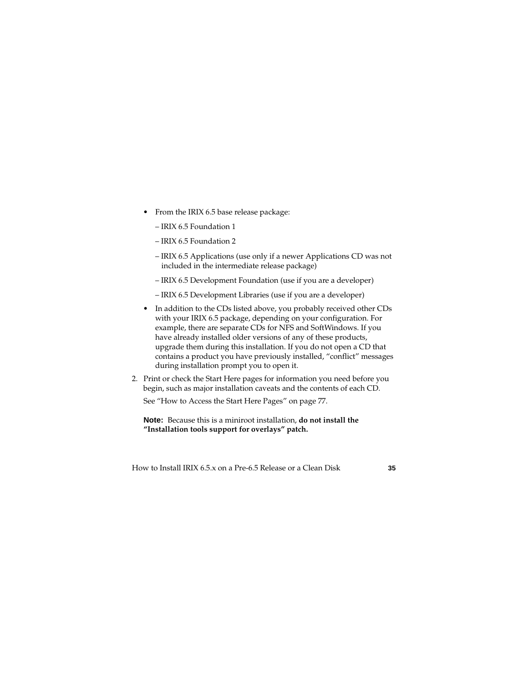- From the IRIX 6.5 base release package:
	- IRIX 6.5 Foundation 1
	- IRIX 6.5 Foundation 2
	- IRIX 6.5 Applications (use only if a newer Applications CD was not included in the intermediate release package)
	- IRIX 6.5 Development Foundation (use if you are a developer)
	- IRIX 6.5 Development Libraries (use if you are a developer)
- In addition to the CDs listed above, you probably received other CDs with your IRIX 6.5 package, depending on your configuration. For example, there are separate CDs for NFS and SoftWindows. If you have already installed older versions of any of these products, upgrade them during this installation. If you do not open a CD that contains a product you have previously installed, "conflict" messages during installation prompt you to open it.
- 2. Print or check the Start Here pages for information you need before you begin, such as major installation caveats and the contents of each CD.

See ["How to Access the Start Here Pages" on page 77.](#page-76-0)

#### **Note:** Because this is a miniroot installation, **do not install the "Installation tools support for overlays" patch.**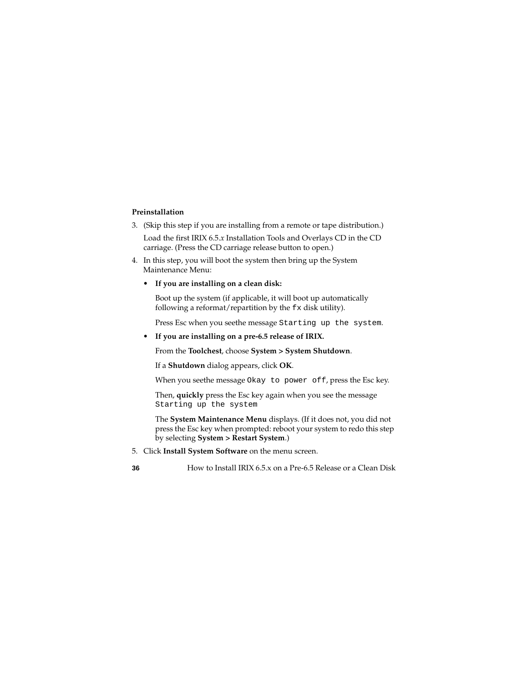#### **Preinstallation**

- 3. (Skip this step if you are installing from a remote or tape distribution.) Load the first IRIX 6.5.*x* Installation Tools and Overlays CD in the CD carriage. (Press the CD carriage release button to open.)
- 4. In this step, you will boot the system then bring up the System Maintenance Menu:
	- **• If you are installing on a clean disk:**

Boot up the system (if applicable, it will boot up automatically following a reformat/repartition by the  $f$ x disk utility).

Press Esc when you seethe message Starting up the system.

#### **• If you are installing on a pre-6.5 release of IRIX.**

From the **Toolchest**, choose **System > System Shutdown**.

If a **Shutdown** dialog appears, click **OK**.

When you seethe message Okay to power off, press the Esc key.

Then, **quickly** press the Esc key again when you see the message Starting up the system

The **System Maintenance Menu** displays. (If it does not, you did not press the Esc key when prompted: reboot your system to redo this step by selecting **System > Restart System**.)

5. Click **Install System Software** on the menu screen.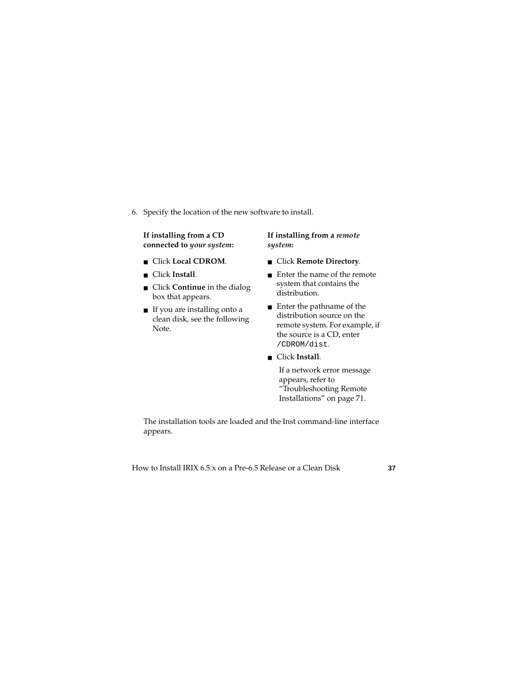6. Specify the location of the new software to install.

**If installing from a CD connected to** *your system***:** 

- Click **Local CDROM**.
- Click **Install***.*
- Click **Continue** in the dialog box that appears.
- If you are installing onto a clean disk, see the following Note.

**If installing from a** *remote system***:**

- Click **Remote Directory**.
- Enter the name of the remote system that contains the distribution.
- Enter the pathname of the distribution source on the remote system. For example, if the source is a CD, enter /CDROM/dist.

## ■ Click **Install***.*

If a network error message appears, refer to ["Troubleshooting Remote](#page-70-0)  [Installations" on page 71](#page-70-0).

The installation tools are loaded and the Inst command-line interface appears.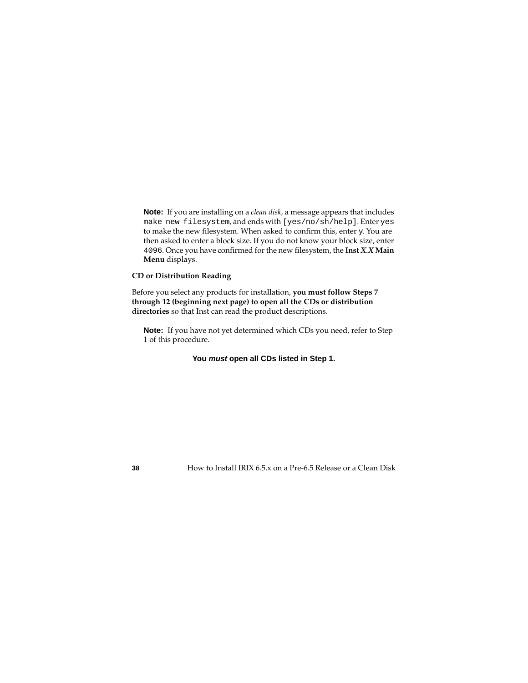**Note:** If you are installing on a *clean disk,* a message appears that includes make new filesystem, and ends with [yes/no/sh/help]. Enter yes to make the new filesystem. When asked to confirm this, enter y. You are then asked to enter a block size. If you do not know your block size, enter 4096. Once you have confirmed for the new filesystem, the **Inst** *X.X* **Main Menu** displays.

### **CD or Distribution Reading**

Before you select any products for installation, **you must follow Steps 7 through 12 (beginning next page) to open all the CDs or distribution directories** so that Inst can read the product descriptions.

**Note:** If you have not yet determined which CDs you need, refer to Step 1 of this procedure.

## **You must open all CDs listed in Step 1.**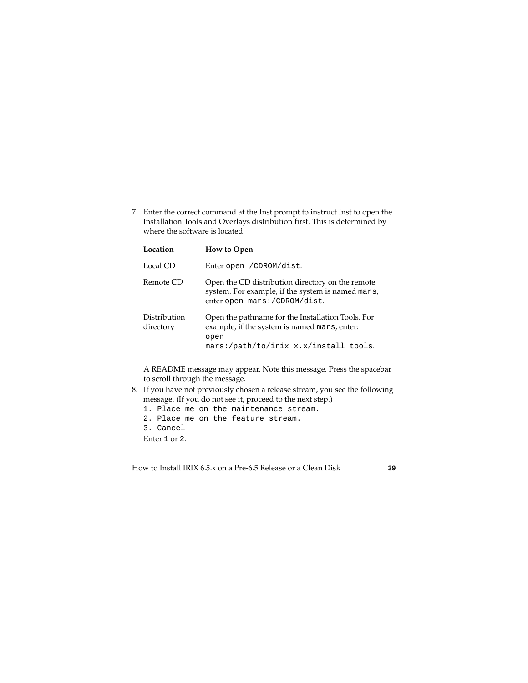<span id="page-38-0"></span>7. Enter the correct command at the Inst prompt to instruct Inst to open the Installation Tools and Overlays distribution first. This is determined by where the software is located.

| Location                  | <b>How to Open</b>                                                                                                                                 |
|---------------------------|----------------------------------------------------------------------------------------------------------------------------------------------------|
| Local CD                  | Enter open / CDROM/dist.                                                                                                                           |
| Remote CD                 | Open the CD distribution directory on the remote<br>system. For example, if the system is named mars,<br>enter open mars:/CDROM/dist.              |
| Distribution<br>directory | Open the pathname for the Installation Tools. For<br>example, if the system is named mars, enter:<br>open<br>mars:/path/to/irix_x.x/install_tools. |

A README message may appear. Note this message. Press the spacebar to scroll through the message.

- 8. If you have not previously chosen a release stream, you see the following message. (If you do not see it, proceed to the next step.)
	- 1. Place me on the maintenance stream.
	- 2. Place me on the feature stream.
	- 3. Cancel

Enter 1 or 2.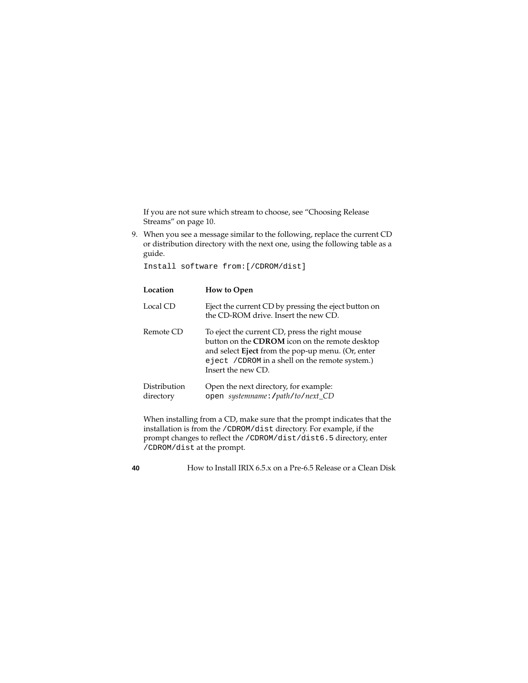If you are not sure which stream to choose, see ["Choosing Release](#page-9-0)  [Streams" on page 10.](#page-9-0)

9. When you see a message similar to the following, replace the current CD or distribution directory with the next one, using the following table as a guide.

Install software from:[/CDROM/dist]

| Location                  | <b>How to Open</b>                                                                                                                                                                                                                     |
|---------------------------|----------------------------------------------------------------------------------------------------------------------------------------------------------------------------------------------------------------------------------------|
| Local CD                  | Eject the current CD by pressing the eject button on<br>the CD-ROM drive. Insert the new CD.                                                                                                                                           |
| Remote CD                 | To eject the current CD, press the right mouse<br>button on the CDROM icon on the remote desktop<br>and select <b>Eject</b> from the pop-up menu. (Or, enter<br>e ject / CDROM in a shell on the remote system.)<br>Insert the new CD. |
| Distribution<br>directory | Open the next directory, for example:<br>open systemname: /path/to/next_CD                                                                                                                                                             |

When installing from a CD, make sure that the prompt indicates that the installation is from the /CDROM/dist directory. For example, if the prompt changes to reflect the /CDROM/dist/dist6.5 directory, enter /CDROM/dist at the prompt.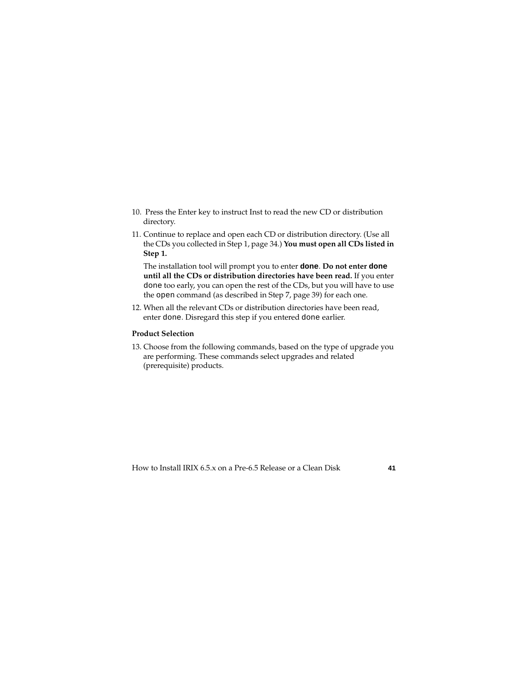- 10. Press the Enter key to instruct Inst to read the new CD or distribution directory.
- 11. Continue to replace and open each CD or distribution directory. (Use all the CDs you collected in Step 1, [page 34](#page-33-0).) **You must open all CDs listed in Step 1.**

The installation tool will prompt you to enter **done**. **Do not enter done until all the CDs or distribution directories have been read.** If you enter done too early, you can open the rest of the CDs, but you will have to use the open command (as described in Step 7, [page 39\)](#page-38-0) for each one.

12. When all the relevant CDs or distribution directories have been read, enter done. Disregard this step if you entered done earlier.

#### **Product Selection**

<span id="page-40-0"></span>13. Choose from the following commands, based on the type of upgrade you are performing. These commands select upgrades and related (prerequisite) products.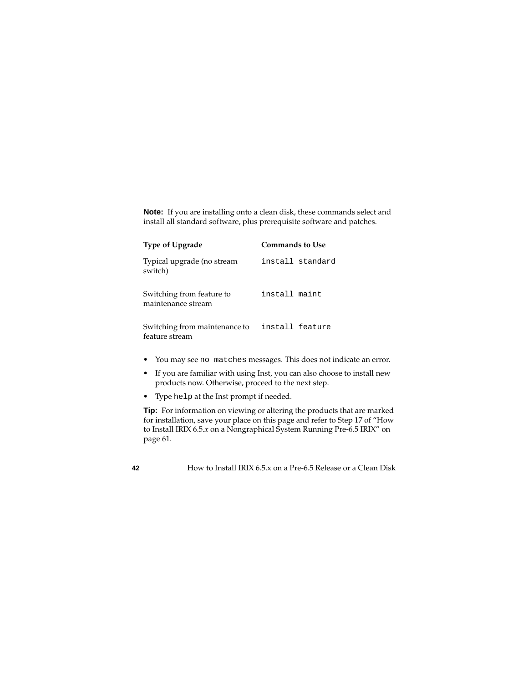**Note:** If you are installing onto a clean disk, these commands select and install all standard software, plus prerequisite software and patches.

| <b>Type of Upgrade</b>                          | <b>Commands to Use</b> |                  |
|-------------------------------------------------|------------------------|------------------|
| Typical upgrade (no stream<br>switch)           |                        | install standard |
| Switching from feature to<br>maintenance stream | install maint          |                  |
| Switching from maintenance to<br>feature stream |                        | install feature  |

- You may see no matches messages. This does not indicate an error.
- If you are familiar with using Inst, you can also choose to install new products now. Otherwise, proceed to the next step.
- Type help at the Inst prompt if needed.

**Tip:** For information on viewing or altering the products that are marked for installation, save your place on this page and refer to Step 17 of "How to Install IRIX 6.5.*x* on a Nongraphical System Running Pre-6.5 IRIX" on [page 61](#page-60-0).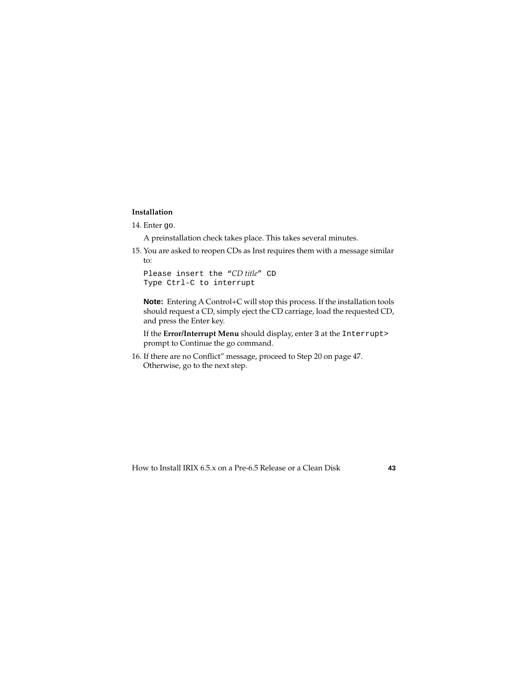### **Installation**

14. Enter go.

A preinstallation check takes place. This takes several minutes.

15. You are asked to reopen CDs as Inst requires them with a message similar to:

```
Please insert the "CD title" CD
Type Ctrl-C to interrupt
```
**Note:** Entering A Control+C will stop this process. If the installation tools should request a CD, simply eject the CD carriage, load the requested CD, and press the Enter key.

If the **Error/Interrupt Menu** should display, enter 3 at the Interrupt> prompt to Continue the go command.

16. If there are no Conflict" message, proceed to Step 20 on [page 47](#page-46-0). Otherwise, go to the next step.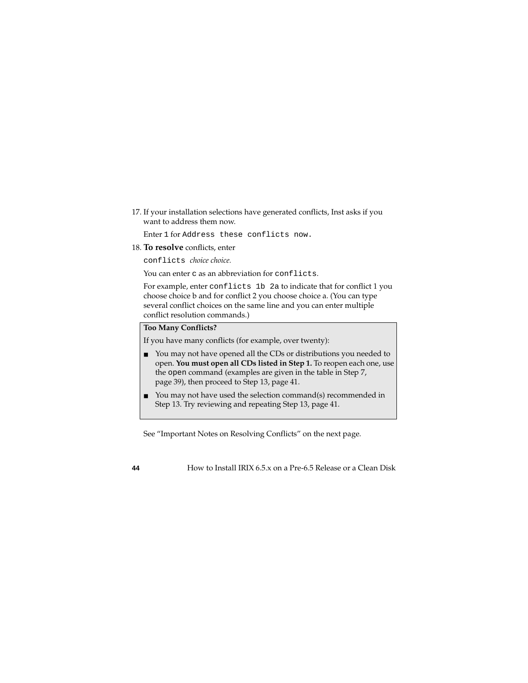17. If your installation selections have generated conflicts, Inst asks if you want to address them now.

Enter 1 for Address these conflicts now.

18. **To resolve** conflicts, enter

conflicts *choice choice.* 

You can enter c as an abbreviation for conflicts.

For example, enter conflicts 1b 2a to indicate that for conflict 1 you choose choice b and for conflict 2 you choose choice a. (You can type several conflict choices on the same line and you can enter multiple conflict resolution commands.)

#### **Too Many Conflicts?**

If you have many conflicts (for example, over twenty):

- You may not have opened all the CDs or distributions you needed to open. **You must open all CDs listed in Step 1.** To reopen each one, use the open command (examples are given in the table in Step 7, [page 39\)](#page-38-0), then proceed to Step 13, [page 41.](#page-40-0)
- You may not have used the selection command(s) recommended in Step 13. Try reviewing and repeating Step 13, [page 41.](#page-40-0)

See "Important Notes on Resolving Conflicts" on the next page.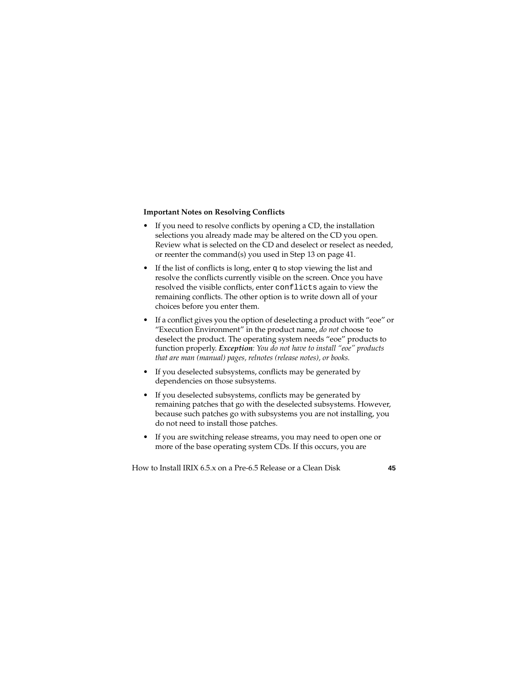#### **Important Notes on Resolving Conflicts**

- If you need to resolve conflicts by opening a CD, the installation selections you already made may be altered on the CD you open. Review what is selected on the CD and deselect or reselect as needed, or reenter the command(s) you used in Step 13 on [page 41](#page-40-0).
- If the list of conflicts is long, enter q to stop viewing the list and resolve the conflicts currently visible on the screen. Once you have resolved the visible conflicts, enter conflicts again to view the remaining conflicts. The other option is to write down all of your choices before you enter them.
- If a conflict gives you the option of deselecting a product with "eoe" or "Execution Environment" in the product name, *do not* choose to deselect the product. The operating system needs "eoe" products to function properly. *Exception: You do not have to install "eoe" products that are man (manual) pages, relnotes (release notes), or books.*
- If you deselected subsystems, conflicts may be generated by dependencies on those subsystems.
- If you deselected subsystems, conflicts may be generated by remaining patches that go with the deselected subsystems. However, because such patches go with subsystems you are not installing, you do not need to install those patches.
- If you are switching release streams, you may need to open one or more of the base operating system CDs. If this occurs, you are

How to Install IRIX 6.5.x on a Pre-6.5 Release or a Clean Disk **45**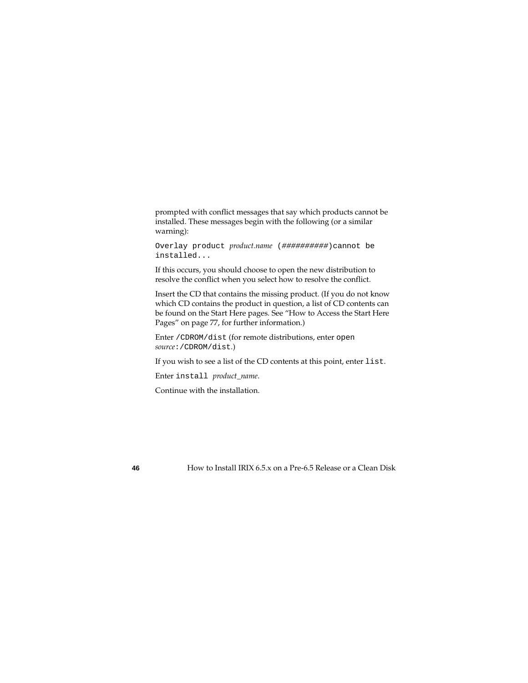prompted with conflict messages that say which products cannot be installed. These messages begin with the following (or a similar warning):

Overlay product *product.name* (##########)cannot be installed...

If this occurs, you should choose to open the new distribution to resolve the conflict when you select how to resolve the conflict.

Insert the CD that contains the missing product. (If you do not know which CD contains the product in question, a list of CD contents can be found on the Start Here pages. See ["How to Access the Start Here](#page-76-0)  [Pages" on page 77,](#page-76-0) for further information.)

Enter /CDROM/dist (for remote distributions, enter open *source*:/CDROM/dist.)

If you wish to see a list of the CD contents at this point, enter list.

Enter install *product\_name*.

Continue with the installation.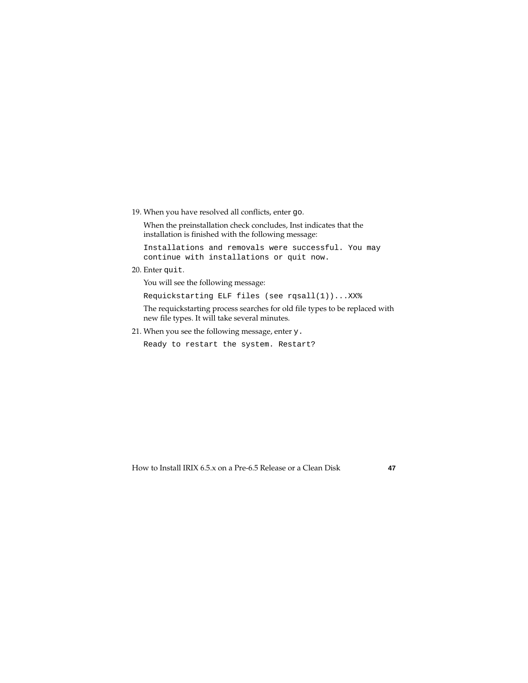19. When you have resolved all conflicts, enter go.

When the preinstallation check concludes, Inst indicates that the installation is finished with the following message:

Installations and removals were successful. You may continue with installations or quit now.

<span id="page-46-0"></span>20. Enter quit.

You will see the following message:

Requickstarting ELF files (see rqsall(1))...XX%

The requickstarting process searches for old file types to be replaced with new file types. It will take several minutes.

21. When you see the following message, enter y.

Ready to restart the system. Restart?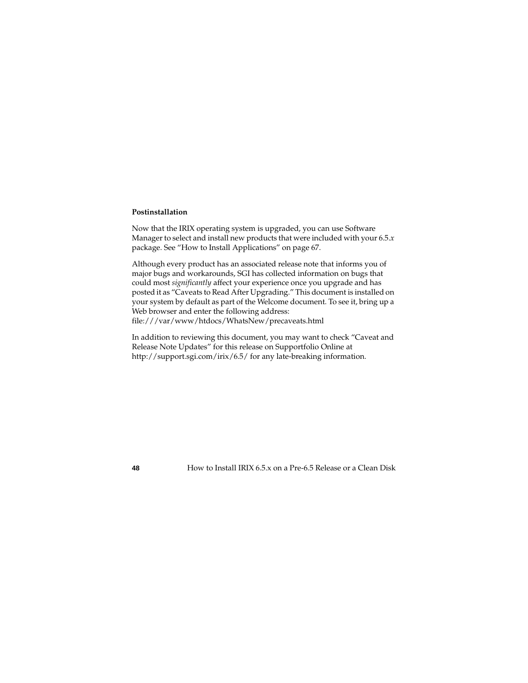#### **Postinstallation**

Now that the IRIX operating system is upgraded, you can use Software Manager to select and install new products that were included with your 6.5.*x* package. See ["How to Install Applications" on page 67](#page-66-0).

Although every product has an associated release note that informs you of major bugs and workarounds, SGI has collected information on bugs that could most *significantly* affect your experience once you upgrade and has posted it as "Caveats to Read After Upgrading." This document is installed on your system by default as part of the Welcome document. To see it, bring up a Web browser and enter the following address:

file:///var/www/htdocs/WhatsNew/precaveats.html

In addition to reviewing this document, you may want to check "Caveat and Release Note Updates" for this release on Supportfolio Online at http://support.sgi.com/irix/6.5/ for any late-breaking information.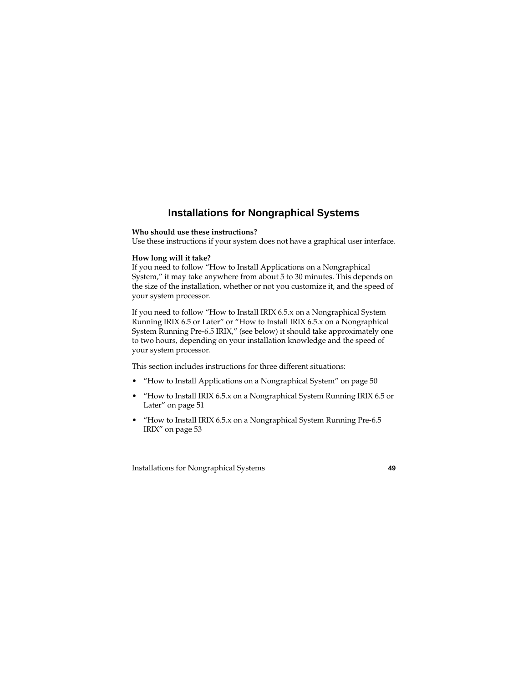# **Installations for Nongraphical Systems**

#### **Who should use these instructions?**

Use these instructions if your system does not have a graphical user interface.

#### **How long will it take?**

If you need to follow ["How to Install Applications on a Nongraphical](#page-49-0)  [System,"](#page-49-0) it may take anywhere from about 5 to 30 minutes. This depends on the size of the installation, whether or not you customize it, and the speed of your system processor.

If you need to follow ["How to Install IRIX 6.5.x on a Nongraphical System](#page-50-0)  [Running IRIX 6.5 or Later"](#page-50-0) or ["How to Install IRIX 6.5.x on a Nongraphical](#page-52-0)  [System Running Pre-6.5 IRIX,"](#page-52-0) (see below) it should take approximately one to two hours, depending on your installation knowledge and the speed of your system processor.

This section includes instructions for three different situations:

- • ["How to Install Applications on a Nongraphical System" on page 50](#page-49-0)
- • ["How to Install IRIX 6.5.x on a Nongraphical System Running IRIX 6.5 or](#page-50-0)  [Later" on page 51](#page-50-0)
- "How to Install IRIX 6.5.x on a Nongraphical System Running Pre-6.5" [IRIX" on page 53](#page-52-0)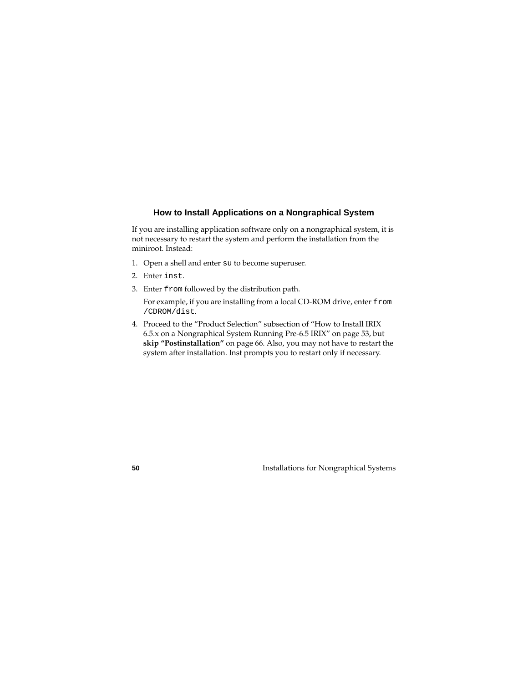## **How to Install Applications on a Nongraphical System**

<span id="page-49-0"></span>If you are installing application software only on a nongraphical system, it is not necessary to restart the system and perform the installation from the miniroot. Instead:

- 1. Open a shell and enter su to become superuser.
- 2. Enter inst.
- 3. Enter from followed by the distribution path.

For example, if you are installing from a local CD-ROM drive, enter from /CDROM/dist.

4. Proceed to the "Product Selection" subsection of ["How to Install IRIX](#page-52-0)  [6.5.x on a Nongraphical System Running Pre-6.5 IRIX" on page 53](#page-52-0), but **skip "Postinstallation"** on [page 66.](#page-65-0) Also, you may not have to restart the system after installation. Inst prompts you to restart only if necessary.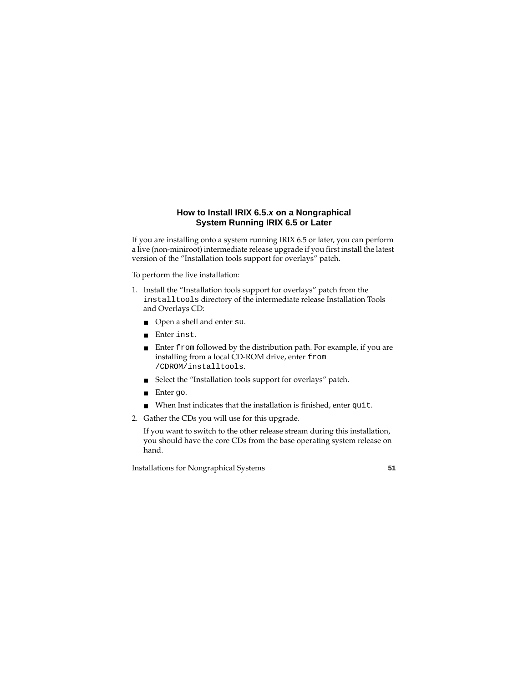# **How to Install IRIX 6.5.x on a Nongraphical System Running IRIX 6.5 or Later**

<span id="page-50-0"></span>If you are installing onto a system running IRIX 6.5 or later, you can perform a live (non-miniroot) intermediate release upgrade if you first install the latest version of the "Installation tools support for overlays" patch.

To perform the live installation:

- 1. Install the "Installation tools support for overlays" patch from the installtools directory of the intermediate release Installation Tools and Overlays CD:
	- Open a shell and enter su.
	- Enter inst.
	- Enter from followed by the distribution path. For example, if you are installing from a local CD-ROM drive, enter from /CDROM/installtools.
	- Select the "Installation tools support for overlays" patch.
	- Enter qo.
	- When Inst indicates that the installation is finished, enter quit.
- 2. Gather the CDs you will use for this upgrade.

If you want to switch to the other release stream during this installation, you should have the core CDs from the base operating system release on hand.

Installations for Nongraphical Systems **51**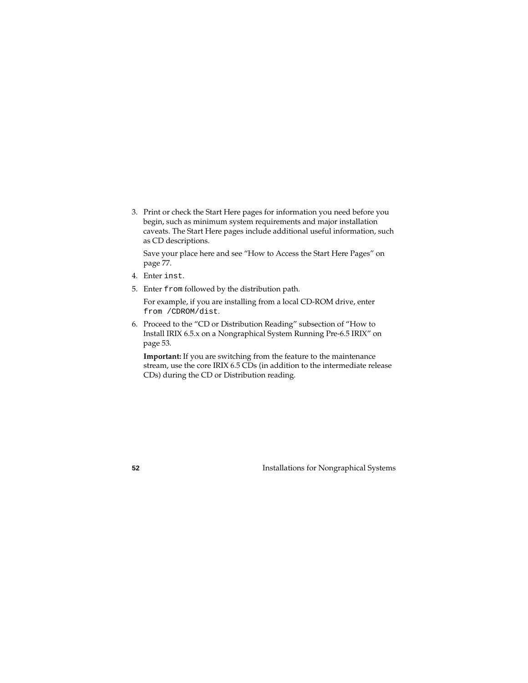3. Print or check the Start Here pages for information you need before you begin, such as minimum system requirements and major installation caveats. The Start Here pages include additional useful information, such as CD descriptions.

Save your place here and see ["How to Access the Start Here Pages" on](#page-76-0)  [page 77](#page-76-0).

- 4. Enter inst.
- 5. Enter from followed by the distribution path.

For example, if you are installing from a local CD-ROM drive, enter from /CDROM/dist.

6. Proceed to the "CD or Distribution Reading" subsection of ["How to](#page-52-0)  [Install IRIX 6.5.x on a Nongraphical System Running Pre-6.5 IRIX" on](#page-52-0)  [page 53.](#page-52-0)

**Important:** If you are switching from the feature to the maintenance stream, use the core IRIX 6.5 CDs (in addition to the intermediate release CDs) during the CD or Distribution reading.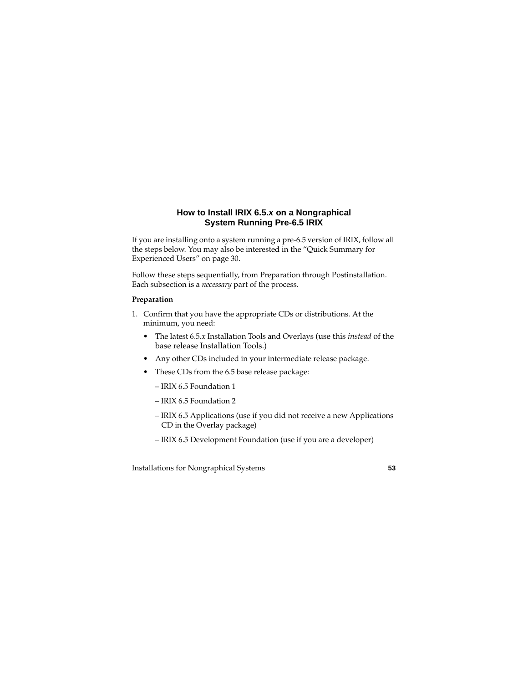# **How to Install IRIX 6.5.x on a Nongraphical System Running Pre-6.5 IRIX**

<span id="page-52-0"></span>If you are installing onto a system running a pre-6.5 version of IRIX, follow all the steps below. You may also be interested in the ["Quick Summary for](#page-29-0)  [Experienced Users" on page 30.](#page-29-0)

Follow these steps sequentially, from Preparation through Postinstallation. Each subsection is a *necessary* part of the process.

### **Preparation**

- <span id="page-52-1"></span>1. Confirm that you have the appropriate CDs or distributions. At the minimum, you need:
	- The latest 6.5.*x* Installation Tools and Overlays (use this *instead* of the base release Installation Tools.)
	- Any other CDs included in your intermediate release package.
	- These CDs from the 6.5 base release package:
		- IRIX 6.5 Foundation 1
		- IRIX 6.5 Foundation 2
		- IRIX 6.5 Applications (use if you did not receive a new Applications CD in the Overlay package)
		- IRIX 6.5 Development Foundation (use if you are a developer)

Installations for Nongraphical Systems **53**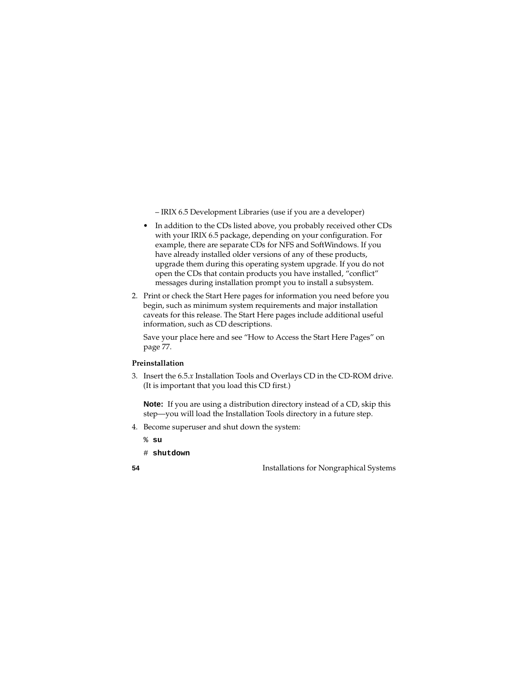– IRIX 6.5 Development Libraries (use if you are a developer)

- In addition to the CDs listed above, you probably received other CDs with your IRIX 6.5 package, depending on your configuration. For example, there are separate CDs for NFS and SoftWindows. If you have already installed older versions of any of these products, upgrade them during this operating system upgrade. If you do not open the CDs that contain products you have installed, "conflict" messages during installation prompt you to install a subsystem.
- 2. Print or check the Start Here pages for information you need before you begin, such as minimum system requirements and major installation caveats for this release. The Start Here pages include additional useful information, such as CD descriptions.

Save your place here and see ["How to Access the Start Here Pages" on](#page-76-0)  [page 77](#page-76-0).

### **Preinstallation**

3. Insert the 6.5.*x* Installation Tools and Overlays CD in the CD-ROM drive. (It is important that you load this CD first.)

**Note:** If you are using a distribution directory instead of a CD, skip this step—you will load the Installation Tools directory in a future step.

- 4. Become superuser and shut down the system:
	- % **su**
	- # **shutdown**

**54** Installations for Nongraphical Systems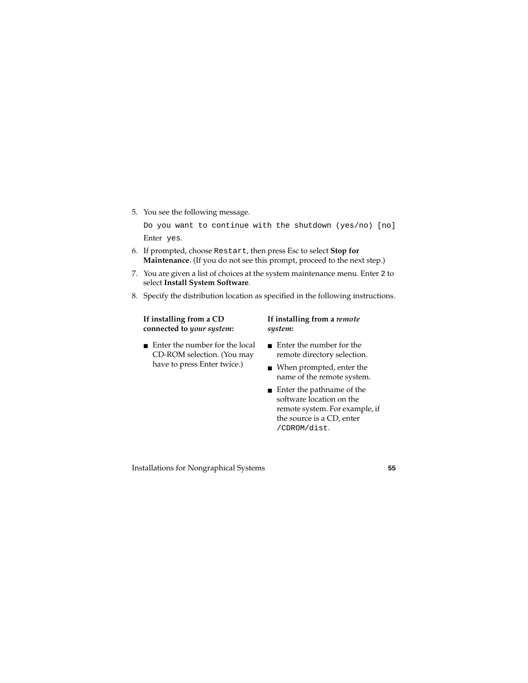5. You see the following message.

Do you want to continue with the shutdown (yes/no) [no] Enter yes.

- 6. If prompted, choose Restart, then press Esc to select **Stop for Maintenance**. (If you do not see this prompt, proceed to the next step.)
- 7. You are given a list of choices at the system maintenance menu. Enter 2 to select **Install System Software**.
- 8. Specify the distribution location as specified in the following instructions.

**If installing from a CD connected to** *your system***:** 

■ Enter the number for the local CD-ROM selection. (You may have to press Enter twice.)

#### **If installing from a** *remote system***:**

- Enter the number for the remote directory selection.
- When prompted, enter the name of the remote system.
- Enter the pathname of the software location on the remote system. For example, if the source is a CD, enter /CDROM/dist.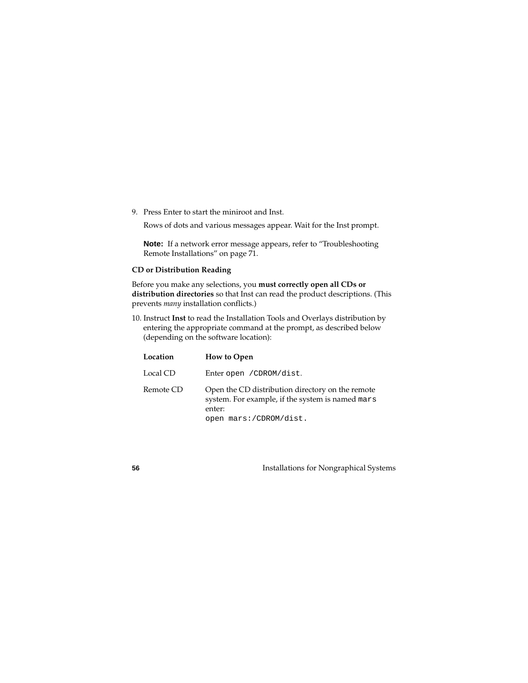9. Press Enter to start the miniroot and Inst.

Rows of dots and various messages appear. Wait for the Inst prompt.

**Note:** If a network error message appears, refer to ["Troubleshooting](#page-70-0)  [Remote Installations" on page 71](#page-70-0).

### **CD or Distribution Reading**

Before you make any selections, you **must correctly open all CDs or distribution directories** so that Inst can read the product descriptions. (This prevents *many* installation conflicts.)

<span id="page-55-0"></span>10. Instruct **Inst** to read the Installation Tools and Overlays distribution by entering the appropriate command at the prompt, as described below (depending on the software location):

| Location  | <b>How to Open</b>                                                                                                                       |
|-----------|------------------------------------------------------------------------------------------------------------------------------------------|
| Local CD  | Enter open / CDROM/dist.                                                                                                                 |
| Remote CD | Open the CD distribution directory on the remote<br>system. For example, if the system is named mars<br>enter:<br>open mars:/CDROM/dist. |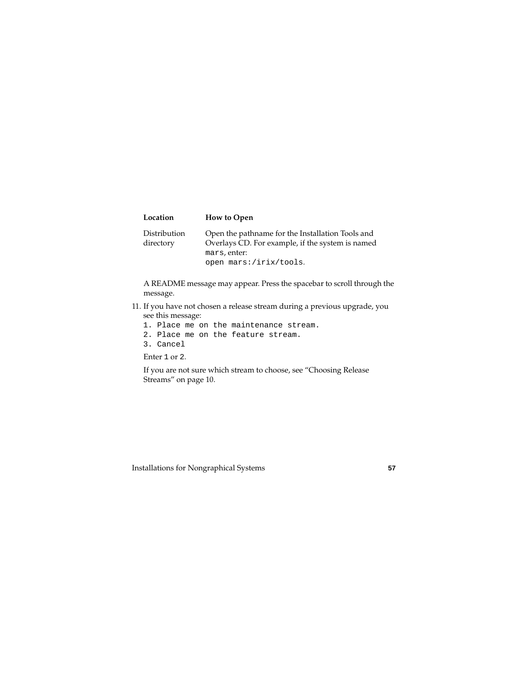| Location                  | <b>How to Open</b>                                                                                   |
|---------------------------|------------------------------------------------------------------------------------------------------|
| Distribution<br>directory | Open the pathname for the Installation Tools and<br>Overlays CD. For example, if the system is named |
|                           | mars, enter:                                                                                         |
|                           | open mars:/irix/tools.                                                                               |

A README message may appear. Press the spacebar to scroll through the message.

- 11. If you have not chosen a release stream during a previous upgrade, you see this message:
	- 1. Place me on the maintenance stream.
	- 2. Place me on the feature stream.
	- 3. Cancel

Enter 1 or 2.

If you are not sure which stream to choose, see ["Choosing Release](#page-9-0)  [Streams" on page 10.](#page-9-0)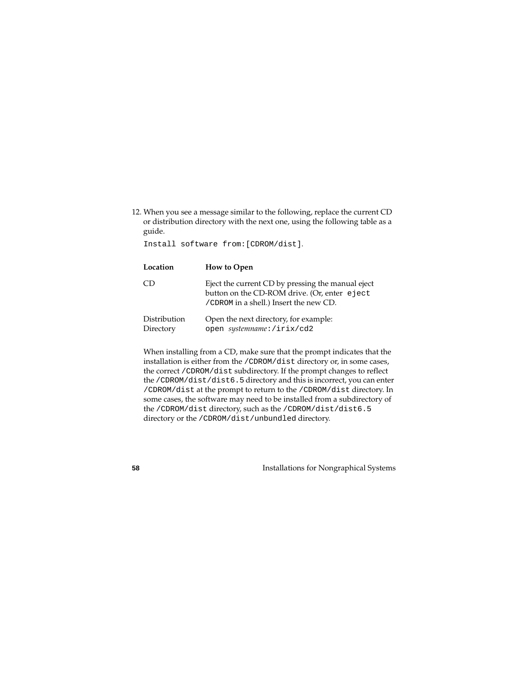<span id="page-57-0"></span>12. When you see a message similar to the following, replace the current CD or distribution directory with the next one, using the following table as a guide.

Install software from:[CDROM/dist].

| Location                  | <b>How to Open</b>                                                                                                                          |
|---------------------------|---------------------------------------------------------------------------------------------------------------------------------------------|
| CD                        | Eject the current CD by pressing the manual eject<br>button on the CD-ROM drive. (Or, enter eject<br>/CDROM in a shell.) Insert the new CD. |
| Distribution<br>Directory | Open the next directory, for example:<br>open systemname:/irix/cd2                                                                          |

When installing from a CD, make sure that the prompt indicates that the installation is either from the /CDROM/dist directory or, in some cases, the correct /CDROM/dist subdirectory. If the prompt changes to reflect the /CDROM/dist/dist6.5 directory and this is incorrect, you can enter /CDROM/dist at the prompt to return to the /CDROM/dist directory. In some cases, the software may need to be installed from a subdirectory of the /CDROM/dist directory, such as the /CDROM/dist/dist6.5 directory or the /CDROM/dist/unbundled directory.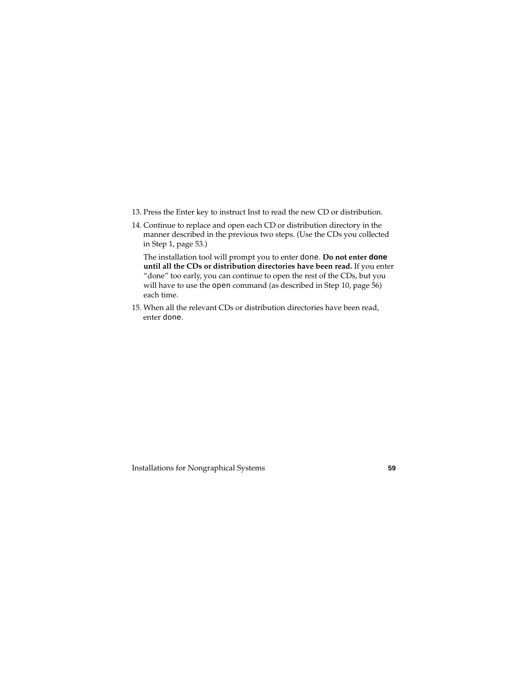- 13. Press the Enter key to instruct Inst to read the new CD or distribution.
- 14. Continue to replace and open each CD or distribution directory in the manner described in the previous two steps. (Use the CDs you collected in Step 1, [page 53](#page-52-1).)

The installation tool will prompt you to enter done. **Do not enter done until all the CDs or distribution directories have been read.** If you enter "done" too early, you can continue to open the rest of the CDs, but you will have to use the open command (as described in Step 10, [page 56\)](#page-55-0) each time.

15. When all the relevant CDs or distribution directories have been read, enter done.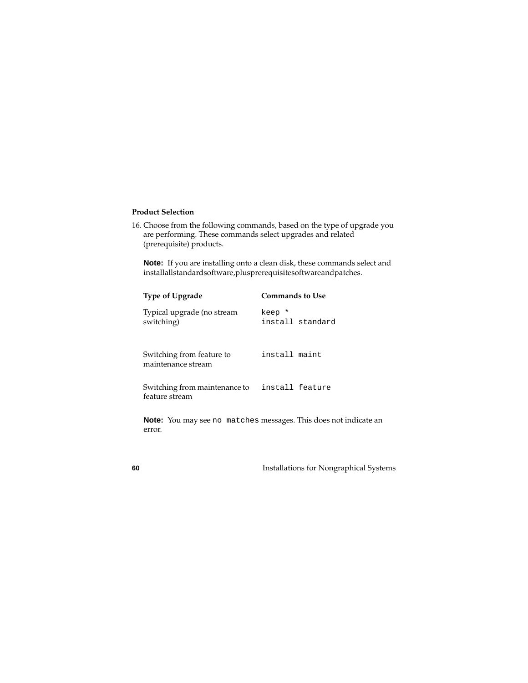#### **Product Selection**

<span id="page-59-0"></span>16. Choose from the following commands, based on the type of upgrade you are performing. These commands select upgrades and related (prerequisite) products.

**Note:** If you are installing onto a clean disk, these commands select and installallstandard software, plus prerequisite software and patches.

| <b>Type of Upgrade</b>                          | Commands to Use            |
|-------------------------------------------------|----------------------------|
| Typical upgrade (no stream<br>switching)        | keep *<br>install standard |
| Switching from feature to<br>maintenance stream | install maint              |
| Switching from maintenance to<br>feature stream | install feature            |

**Note:** You may see no matches messages. This does not indicate an error.

**60** Installations for Nongraphical Systems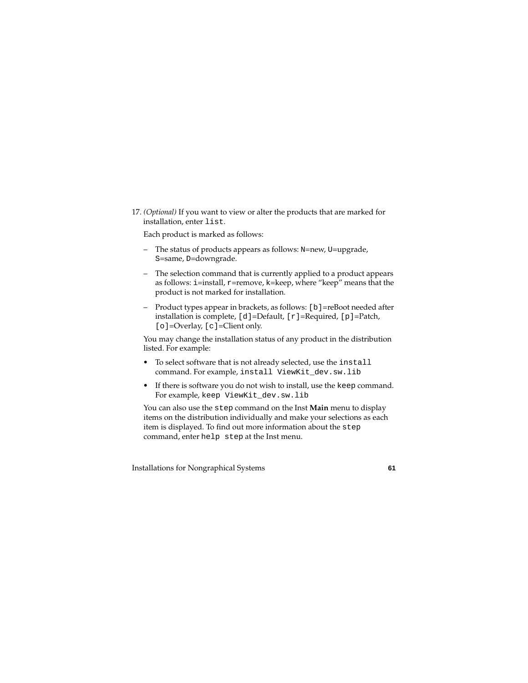<span id="page-60-0"></span>17. *(Optional)* If you want to view or alter the products that are marked for installation, enter list.

Each product is marked as follows:

- The status of products appears as follows: N=new, U=upgrade, S=same, D=downgrade.
- The selection command that is currently applied to a product appears as follows: i=install, r=remove, k=keep, where "keep" means that the product is not marked for installation.
- Product types appear in brackets, as follows: [b]=reBoot needed after installation is complete,  $[d] = \text{Default}, [r] = \text{Required}, [p] = \text{patch},$ [o]=Overlay, [c]=Client only.

You may change the installation status of any product in the distribution listed. For example:

- To select software that is not already selected, use the install command. For example, install ViewKit\_dev.sw.lib
- If there is software you do not wish to install, use the keep command. For example, keep ViewKit\_dev.sw.lib

You can also use the step command on the Inst **Main** menu to display items on the distribution individually and make your selections as each item is displayed. To find out more information about the step command, enter help step at the Inst menu.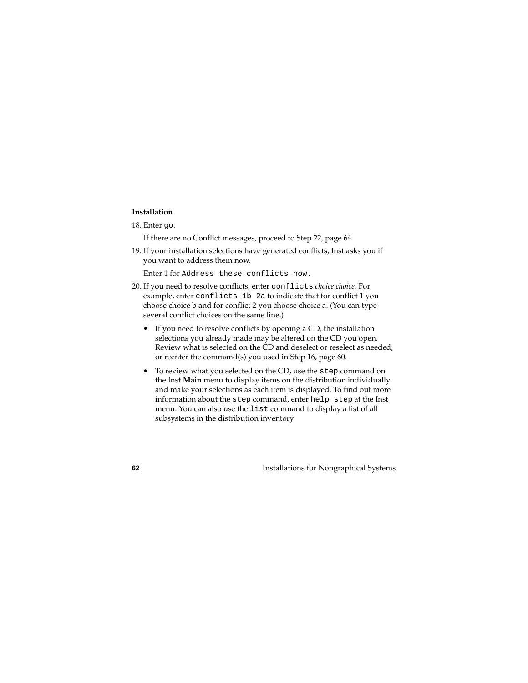#### **Installation**

18. Enter go.

If there are no Conflict messages, proceed to Step 22, [page 64](#page-63-0).

19. If your installation selections have generated conflicts, Inst asks you if you want to address them now.

Enter 1 for Address these conflicts now.

- 20. If you need to resolve conflicts, enter conflicts *choice choice.* For example, enter conflicts 1b 2a to indicate that for conflict 1 you choose choice b and for conflict 2 you choose choice a. (You can type several conflict choices on the same line.)
	- If you need to resolve conflicts by opening a CD, the installation selections you already made may be altered on the CD you open. Review what is selected on the CD and deselect or reselect as needed, or reenter the command(s) you used in Step 16, [page 60](#page-59-0).
	- To review what you selected on the CD, use the step command on the Inst **Main** menu to display items on the distribution individually and make your selections as each item is displayed. To find out more information about the step command, enter help step at the Inst menu. You can also use the list command to display a list of all subsystems in the distribution inventory.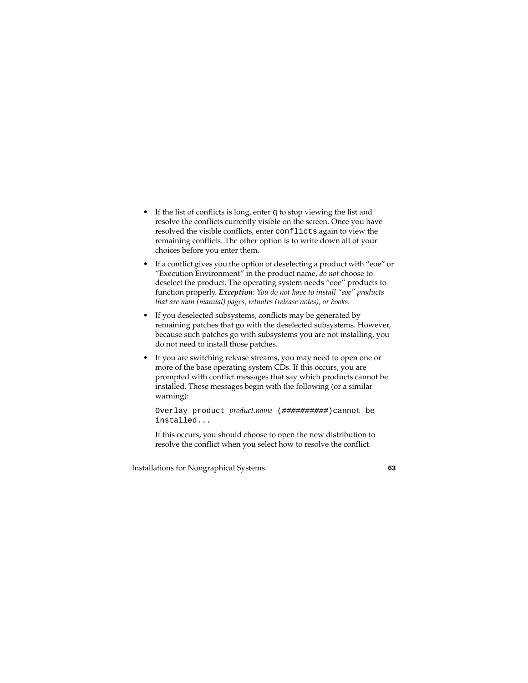- If the list of conflicts is long, enter q to stop viewing the list and resolve the conflicts currently visible on the screen. Once you have resolved the visible conflicts, enter conflicts again to view the remaining conflicts. The other option is to write down all of your choices before you enter them.
- If a conflict gives you the option of deselecting a product with "eoe" or "Execution Environment" in the product name, *do not* choose to deselect the product. The operating system needs "eoe" products to function properly. *Exception: You do not have to install "eoe" products that are man (manual) pages, relnotes (release notes), or books.*
- If you deselected subsystems, conflicts may be generated by remaining patches that go with the deselected subsystems. However, because such patches go with subsystems you are not installing, you do not need to install those patches.
- If you are switching release streams, you may need to open one or more of the base operating system CDs. If this occurs, you are prompted with conflict messages that say which products cannot be installed. These messages begin with the following (or a similar warning):

Overlay product *product.name* (##########)cannot be installed...

If this occurs, you should choose to open the new distribution to resolve the conflict when you select how to resolve the conflict.

Installations for Nongraphical Systems **63**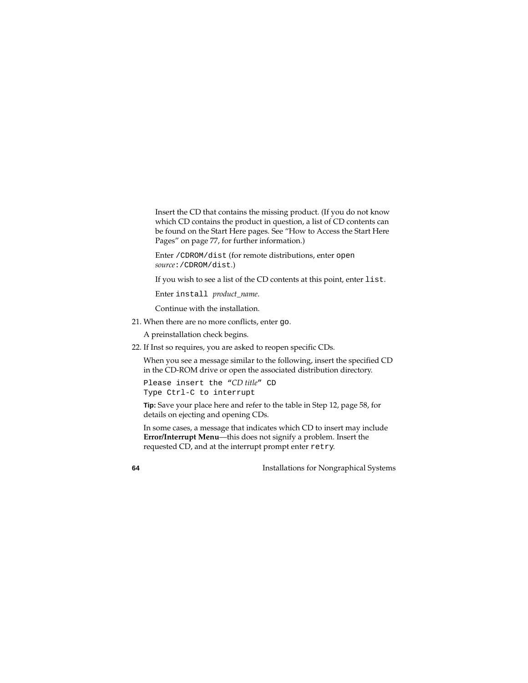Insert the CD that contains the missing product. (If you do not know which CD contains the product in question, a list of CD contents can be found on the Start Here pages. See ["How to Access the Start Here](#page-76-0)  [Pages" on page 77,](#page-76-0) for further information.)

Enter /CDROM/dist (for remote distributions, enter open *source*:/CDROM/dist.)

If you wish to see a list of the CD contents at this point, enter list.

Enter install *product\_name*.

Continue with the installation.

21. When there are no more conflicts, enter go.

A preinstallation check begins.

<span id="page-63-0"></span>22. If Inst so requires, you are asked to reopen specific CDs.

When you see a message similar to the following, insert the specified CD in the CD-ROM drive or open the associated distribution directory.

```
Please insert the "CD title" CD
Type Ctrl-C to interrupt
```
**Tip:** Save your place here and refer to the table in Step 12, [page 58](#page-57-0), for details on ejecting and opening CDs.

In some cases, a message that indicates which CD to insert may include **Error/Interrupt Menu**—this does not signify a problem. Insert the requested CD, and at the interrupt prompt enter retry.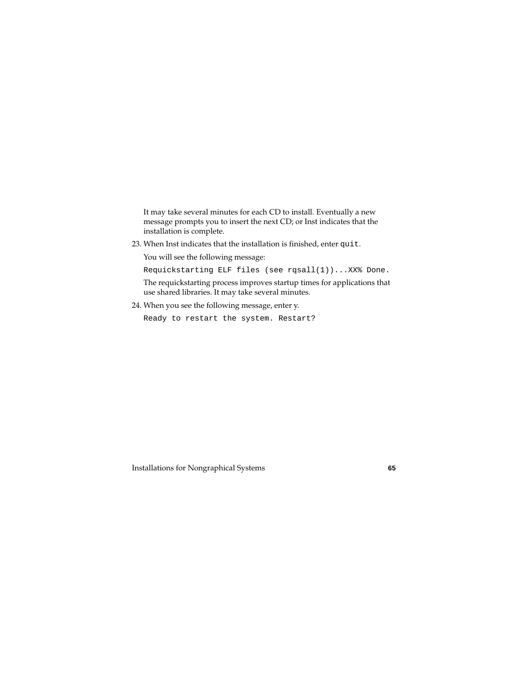It may take several minutes for each CD to install. Eventually a new message prompts you to insert the next CD; or Inst indicates that the installation is complete.

23. When Inst indicates that the installation is finished, enter quit.

You will see the following message:

Requickstarting ELF files (see rqsall(1))...XX% Done.

The requickstarting process improves startup times for applications that use shared libraries. It may take several minutes.

24. When you see the following message, enter y.

Ready to restart the system. Restart?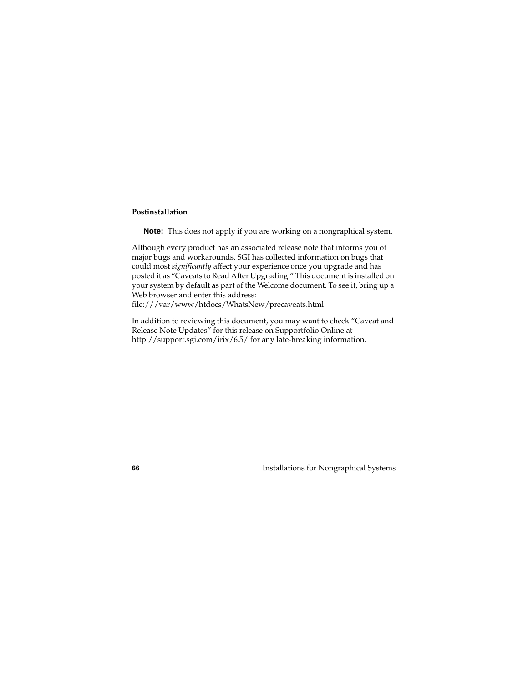#### <span id="page-65-0"></span>**Postinstallation**

**Note:** This does not apply if you are working on a nongraphical system.

Although every product has an associated release note that informs you of major bugs and workarounds, SGI has collected information on bugs that could most *significantly* affect your experience once you upgrade and has posted it as "Caveats to Read After Upgrading." This document is installed on your system by default as part of the Welcome document. To see it, bring up a Web browser and enter this address:

file:///var/www/htdocs/WhatsNew/precaveats.html

In addition to reviewing this document, you may want to check "Caveat and Release Note Updates" for this release on Supportfolio Online at http://support.sgi.com/irix/6.5/ for any late-breaking information.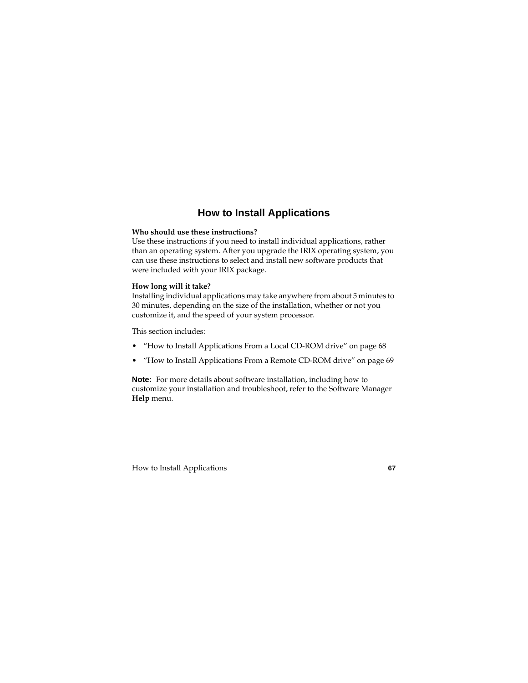# **How to Install Applications**

### <span id="page-66-0"></span>**Who should use these instructions?**

Use these instructions if you need to install individual applications, rather than an operating system. After you upgrade the IRIX operating system, you can use these instructions to select and install new software products that were included with your IRIX package.

#### **How long will it take?**

Installing individual applications may take anywhere from about 5 minutes to 30 minutes, depending on the size of the installation, whether or not you customize it, and the speed of your system processor.

This section includes:

- • ["How to Install Applications From a Local CD-ROM drive" on page 68](#page-67-0)
- • ["How to Install Applications From a Remote CD-ROM drive" on page 69](#page-68-0)

**Note:** For more details about software installation, including how to customize your installation and troubleshoot, refer to the Software Manager **Help** menu.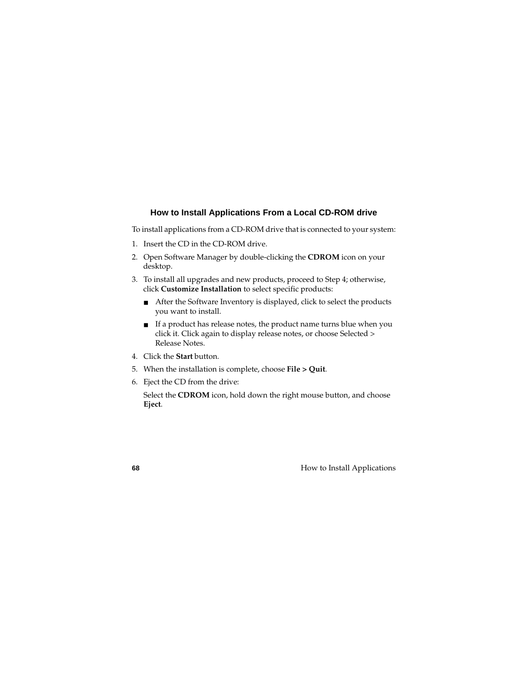## **How to Install Applications From a Local CD-ROM drive**

<span id="page-67-0"></span>To install applications from a CD-ROM drive that is connected to your system:

- 1. Insert the CD in the CD-ROM drive.
- 2. Open Software Manager by double-clicking the **CDROM** icon on your desktop.
- 3. To install all upgrades and new products, proceed to Step 4; otherwise, click **Customize Installation** to select specific products:
	- After the Software Inventory is displayed, click to select the products you want to install.
	- If a product has release notes, the product name turns blue when you click it. Click again to display release notes, or choose Selected > Release Notes.
- 4. Click the **Start** button.
- 5. When the installation is complete, choose **File > Quit**.
- 6. Eject the CD from the drive:

Select the **CDROM** icon, hold down the right mouse button, and choose **Eject**.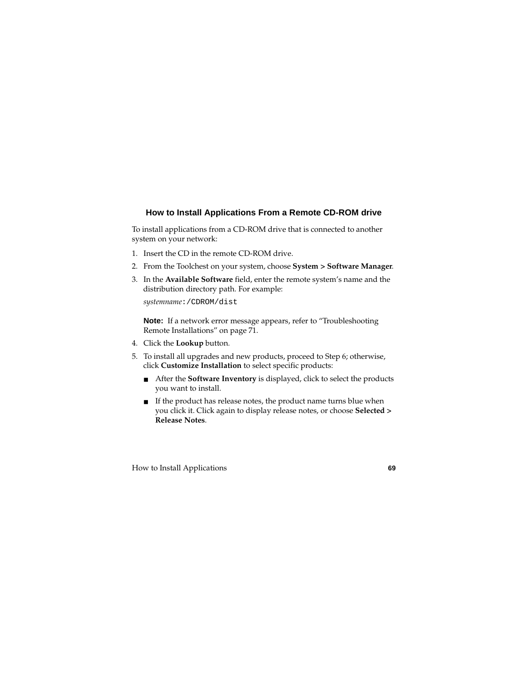## <span id="page-68-0"></span>**How to Install Applications From a Remote CD-ROM drive**

To install applications from a CD-ROM drive that is connected to another system on your network:

- 1. Insert the CD in the remote CD-ROM drive.
- 2. From the Toolchest on your system, choose **System > Software Manager**.
- 3. In the **Available Software** field, enter the remote system's name and the distribution directory path. For example:

*systemname*:/CDROM/dist

**Note:** If a network error message appears, refer to ["Troubleshooting](#page-70-0)  [Remote Installations" on page 71](#page-70-0).

- 4. Click the **Lookup** button*.*
- 5. To install all upgrades and new products, proceed to Step 6; otherwise, click **Customize Installation** to select specific products:
	- After the **Software Inventory** is displayed, click to select the products you want to install.
	- If the product has release notes, the product name turns blue when you click it. Click again to display release notes, or choose **Selected > Release Notes**.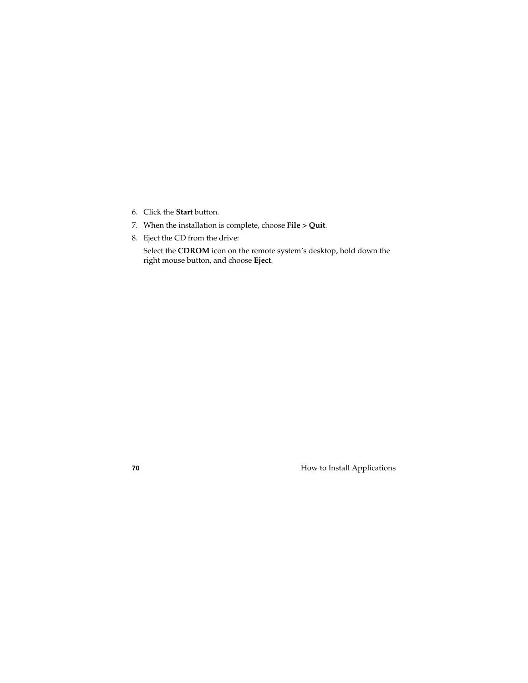- 6. Click the **Start** button.
- 7. When the installation is complete, choose **File > Quit**.
- 8. Eject the CD from the drive:

Select the **CDROM** icon on the remote system's desktop, hold down the right mouse button, and choose **Eject**.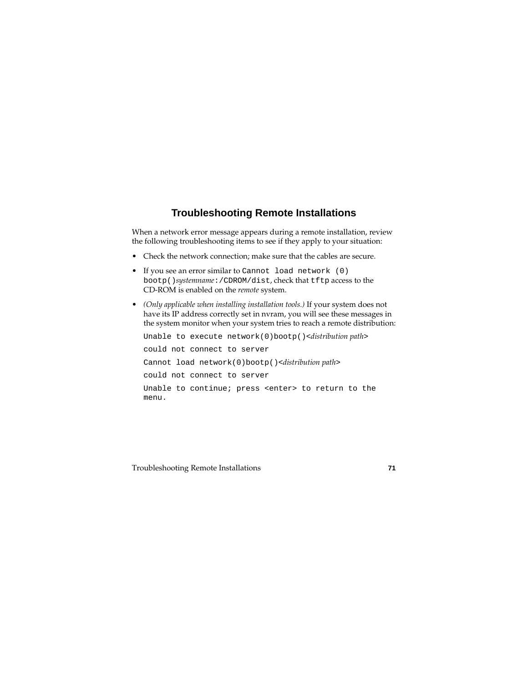# **Troubleshooting Remote Installations**

<span id="page-70-0"></span>When a network error message appears during a remote installation, review the following troubleshooting items to see if they apply to your situation:

- Check the network connection; make sure that the cables are secure.
- If you see an error similar to Cannot load network (0) bootp()*systemname*:/CDROM/dist, check that tftp access to the CD-ROM is enabled on the *remote* system.
- *(Only applicable when installing installation tools.)* If your system does not have its IP address correctly set in nvram, you will see these messages in the system monitor when your system tries to reach a remote distribution:

```
Unable to execute network(0)bootp()<distribution path>
could not connect to server
Cannot load network(0)bootp()<distribution path>
could not connect to server
Unable to continue; press <enter> to return to the 
menu.
```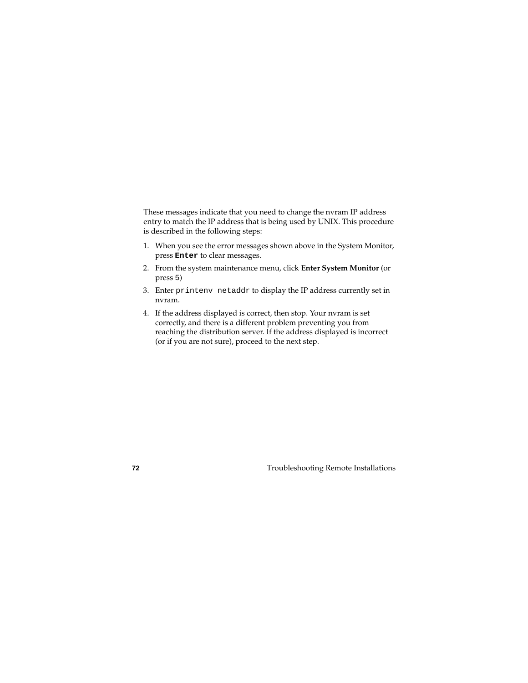These messages indicate that you need to change the nvram IP address entry to match the IP address that is being used by UNIX. This procedure is described in the following steps:

- 1. When you see the error messages shown above in the System Monitor, press **Enter** to clear messages.
- 2. From the system maintenance menu, click **Enter System Monitor** (or press 5)
- 3. Enter printenv netaddr to display the IP address currently set in nvram.
- 4. If the address displayed is correct, then stop. Your nvram is set correctly, and there is a different problem preventing you from reaching the distribution server. If the address displayed is incorrect (or if you are not sure), proceed to the next step.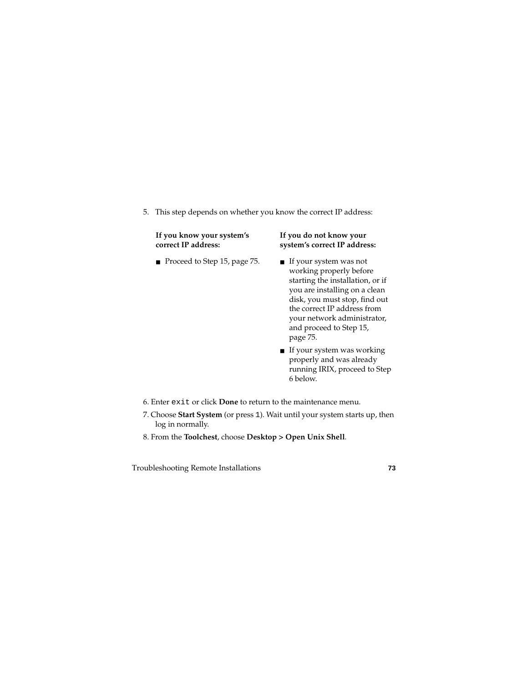5. This step depends on whether you know the correct IP address:

#### **If you know your system's correct IP address:**

■ Proceed to Step 15, [page 75](#page-74-0). ■ If your system was not

#### **If you do not know your system's correct IP address:**

- working properly before starting the installation, or if you are installing on a clean disk, you must stop, find out the correct IP address from your network administrator, and proceed to Step 15, [page 75.](#page-74-0)
- If your system was working properly and was already running IRIX, proceed to Step 6 below.
- 6. Enter exit or click **Done** to return to the maintenance menu.
- 7. Choose **Start System** (or press 1). Wait until your system starts up, then log in normally.
- 8. From the **Toolchest**, choose **Desktop > Open Unix Shell**.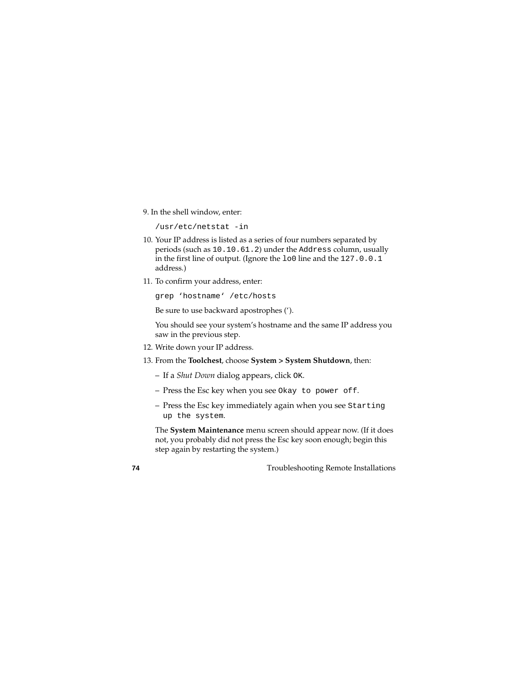9. In the shell window, enter:

 $\ln\left(\frac{1}{2} \right)$ 

- 10. Your IP address is listed as a series of four numbers separated by periods (such as 10.10.61.2) under the Address column, usually in the first line of output. (Ignore the lo0 line and the 127.0.0.1 address.)
- 11. To confirm your address, enter:

grep 'hostname' /etc/hosts

Be sure to use backward apostrophes (').

You should see your system's hostname and the same IP address you saw in the previous step.

- 12. Write down your IP address.
- 13. From the **Toolchest**, choose **System > System Shutdown**, then:
	- If a *Shut Down* dialog appears, click OK.
	- Press the Esc key when you see Okay to power off.
	- Press the Esc key immediately again when you see Starting up the system.

The **System Maintenance** menu screen should appear now. (If it does not, you probably did not press the Esc key soon enough; begin this step again by restarting the system.)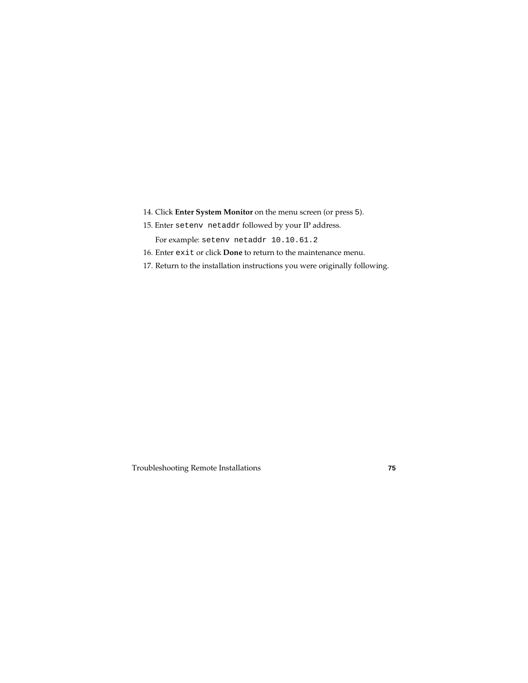- 14. Click **Enter System Monitor** on the menu screen (or press 5).
- <span id="page-74-0"></span>15. Enter setenv netaddr followed by your IP address.

For example: setenv netaddr 10.10.61.2

- 16. Enter exit or click **Done** to return to the maintenance menu.
- 17. Return to the installation instructions you were originally following.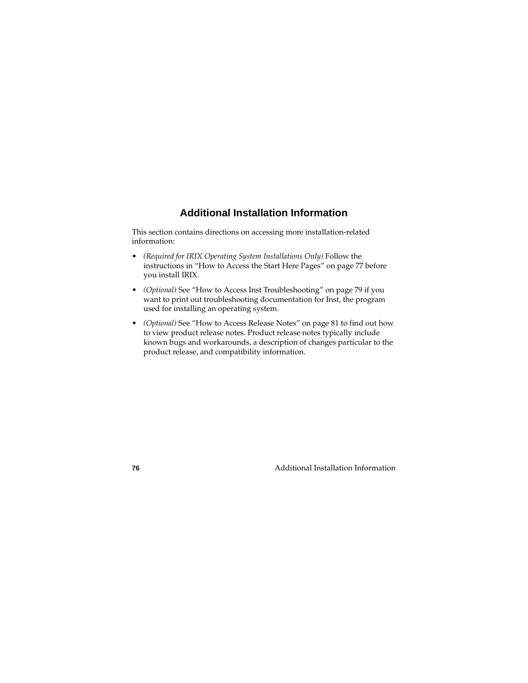# **Additional Installation Information**

This section contains directions on accessing more installation-related information:

- *(Required for IRIX Operating System Installations Only)* Follow the instructions in ["How to Access the Start Here Pages" on page 77](#page-76-0) before you install IRIX.
- *(Optional)* See ["How to Access Inst Troubleshooting" on page 79](#page-78-0) if you want to print out troubleshooting documentation for Inst, the program used for installing an operating system.
- *(Optional)* See ["How to Access Release Notes" on page 81](#page-80-0) to find out how to view product release notes. Product release notes typically include known bugs and workarounds, a description of changes particular to the product release, and compatibility information.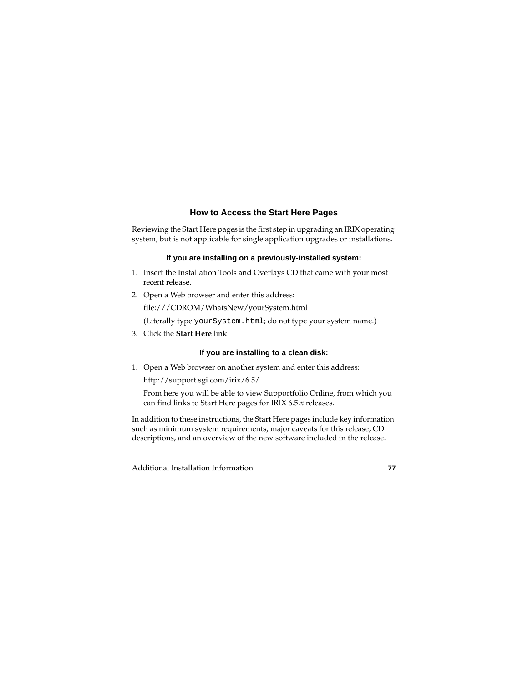### **How to Access the Start Here Pages**

<span id="page-76-0"></span>Reviewing the Start Here pages is the first step in upgrading an IRIX operating system, but is not applicable for single application upgrades or installations.

#### **If you are installing on a previously-installed system:**

- 1. Insert the Installation Tools and Overlays CD that came with your most recent release.
- 2. Open a Web browser and enter this address: file:///CDROM/WhatsNew/yourSystem.html (Literally type yourSystem.html; do not type your system name.)
- 3. Click the **Start Here** link.

#### **If you are installing to a clean disk:**

1. Open a Web browser on another system and enter this address: http://support.sgi.com/irix/6.5/

From here you will be able to view Supportfolio Online, from which you can find links to Start Here pages for IRIX 6.5.*x* releases.

In addition to these instructions, the Start Here pages include key information such as minimum system requirements, major caveats for this release, CD descriptions, and an overview of the new software included in the release.

Additional Installation Information **77**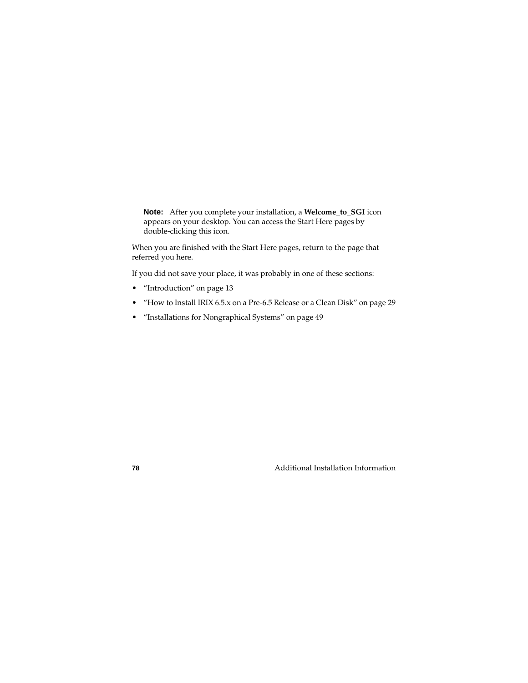**Note:** After you complete your installation, a **Welcome\_to\_SGI** icon appears on your desktop. You can access the Start Here pages by double-clicking this icon.

When you are finished with the Start Here pages, return to the page that referred you here.

If you did not save your place, it was probably in one of these sections:

- • ["Introduction" on page 13](#page-12-0)
- • ["How to Install IRIX 6.5.x on a Pre-6.5 Release or a Clean Disk" on page 29](#page-28-0)
- • ["Installations for Nongraphical Systems" on page 49](#page-48-0)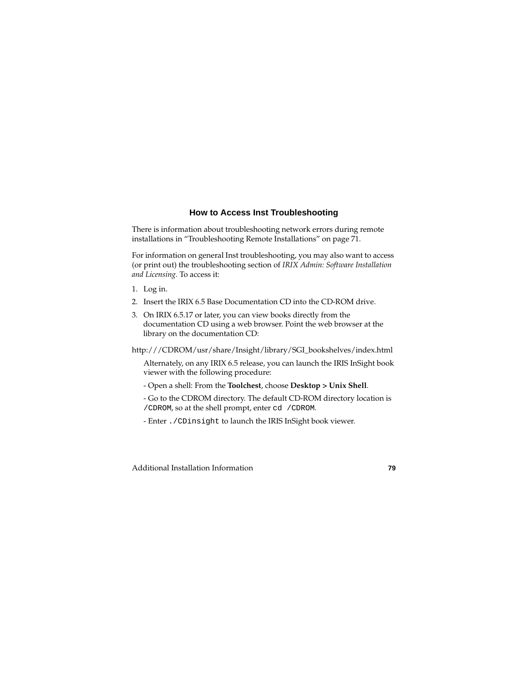## **How to Access Inst Troubleshooting**

<span id="page-78-0"></span>There is information about troubleshooting network errors during remote installations in ["Troubleshooting Remote Installations" on page 71](#page-70-0).

For information on general Inst troubleshooting, you may also want to access (or print out) the troubleshooting section of *IRIX Admin: Software Installation and Licensing.* To access it:

- 1. Log in.
- 2. Insert the IRIX 6.5 Base Documentation CD into the CD-ROM drive.
- 3. On IRIX 6.5.17 or later, you can view books directly from the documentation CD using a web browser. Point the web browser at the library on the documentation CD:

http:///CDROM/usr/share/Insight/library/SGI\_bookshelves/index.html

Alternately, on any IRIX 6.5 release, you can launch the IRIS InSight book viewer with the following procedure:

- Open a shell: From the **Toolchest**, choose **Desktop > Unix Shell**.
- Go to the CDROM directory. The default CD-ROM directory location is /CDROM, so at the shell prompt, enter cd /CDROM.
- Enter ./CDinsight to launch the IRIS InSight book viewer.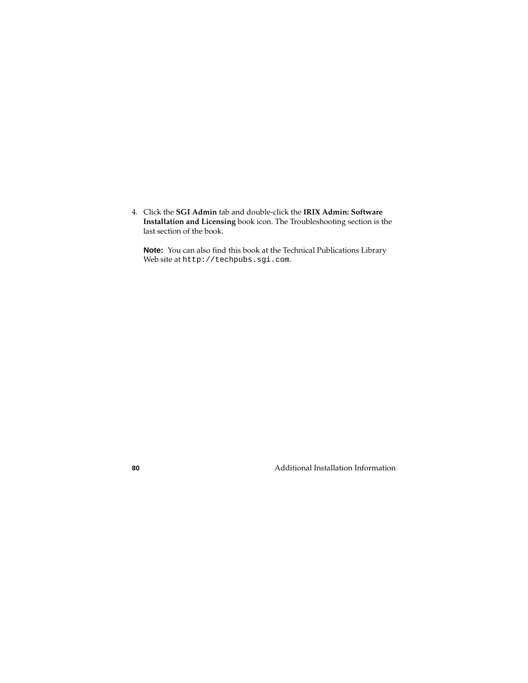4. Click the **SGI Admin** tab and double-click the **IRIX Admin: Software Installation and Licensing** book icon. The Troubleshooting section is the last section of the book.

**Note:** You can also find this book at the Technical Publications Library Web site at http://techpubs.sgi.com.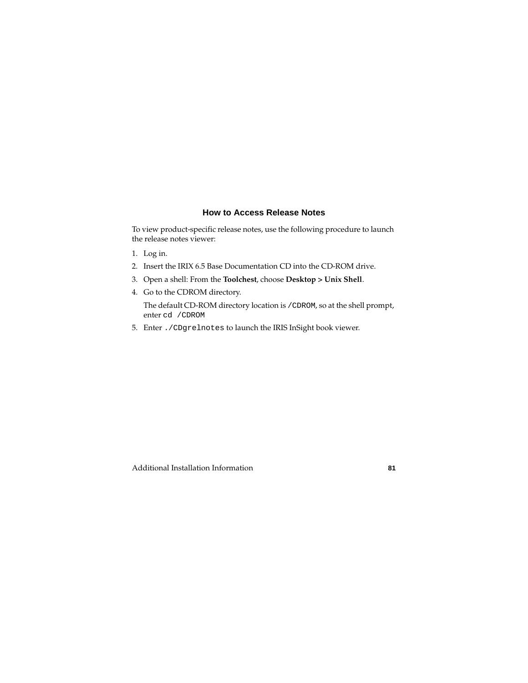### **How to Access Release Notes**

<span id="page-80-0"></span>To view product-specific release notes, use the following procedure to launch the release notes viewer:

- 1. Log in.
- 2. Insert the IRIX 6.5 Base Documentation CD into the CD-ROM drive.
- 3. Open a shell: From the **Toolchest**, choose **Desktop > Unix Shell**.
- 4. Go to the CDROM directory.

The default CD-ROM directory location is /CDROM, so at the shell prompt, enter cd /CDROM

5. Enter ./CDgrelnotes to launch the IRIS InSight book viewer.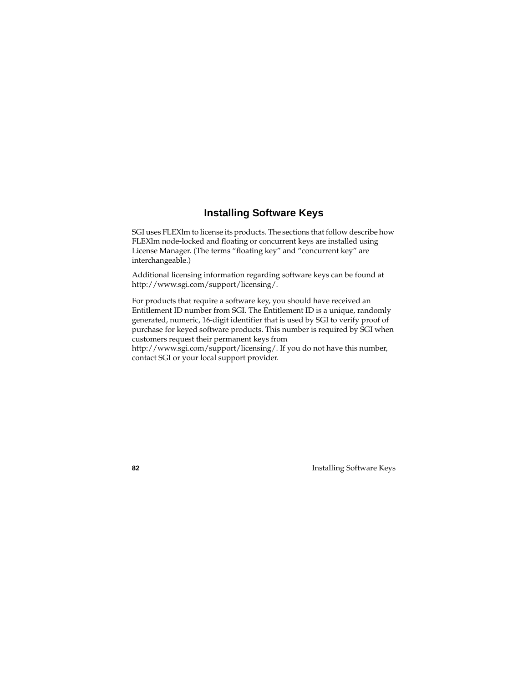# **Installing Software Keys**

SGI uses FLEXlm to license its products. The sections that follow describe how FLEXlm node-locked and floating or concurrent keys are installed using License Manager. (The terms "floating key" and "concurrent key" are interchangeable.)

Additional licensing information regarding software keys can be found at http://www.sgi.com/support/licensing/.

For products that require a software key, you should have received an Entitlement ID number from SGI. The Entitlement ID is a unique, randomly generated, numeric, 16-digit identifier that is used by SGI to verify proof of purchase for keyed software products. This number is required by SGI when customers request their permanent keys from http://www.sgi.com/support/licensing/. If you do not have this number, contact SGI or your local support provider.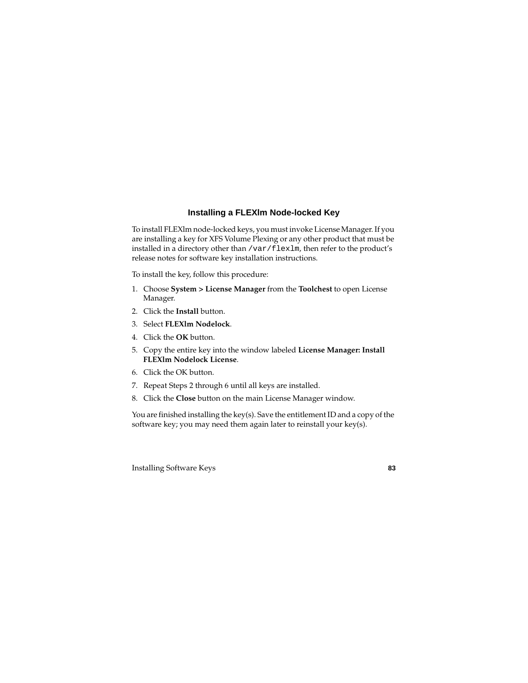## **Installing a FLEXlm Node-locked Key**

To install FLEXlm node-locked keys, you must invoke License Manager. If you are installing a key for XFS Volume Plexing or any other product that must be installed in a directory other than /var/flexlm, then refer to the product's release notes for software key installation instructions.

To install the key, follow this procedure:

- 1. Choose **System > License Manager** from the **Toolchest** to open License Manager.
- 2. Click the **Install** button.
- 3. Select **FLEXlm Nodelock**.
- 4. Click the **OK** button.
- 5. Copy the entire key into the window labeled **License Manager: Install FLEXlm Nodelock License**.
- 6. Click the OK button.
- 7. Repeat Steps 2 through 6 until all keys are installed.
- 8. Click the **Close** button on the main License Manager window.

You are finished installing the key(s). Save the entitlement ID and a copy of the software key; you may need them again later to reinstall your key(s).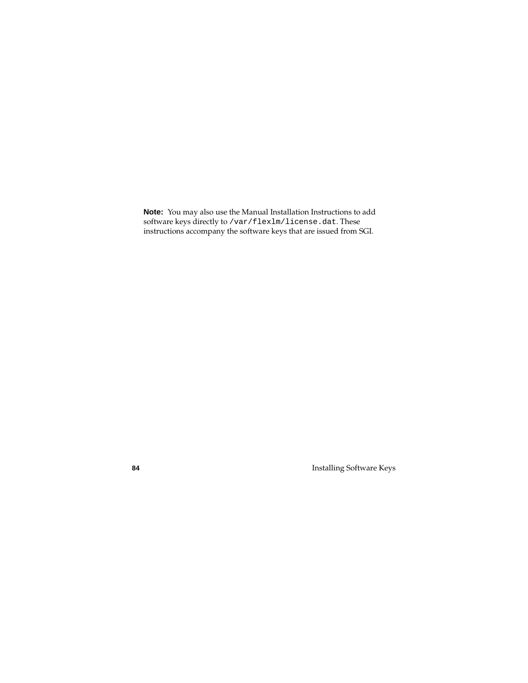**Note:** You may also use the Manual Installation Instructions to add software keys directly to /var/flexlm/license.dat. These instructions accompany the software keys that are issued from SGI.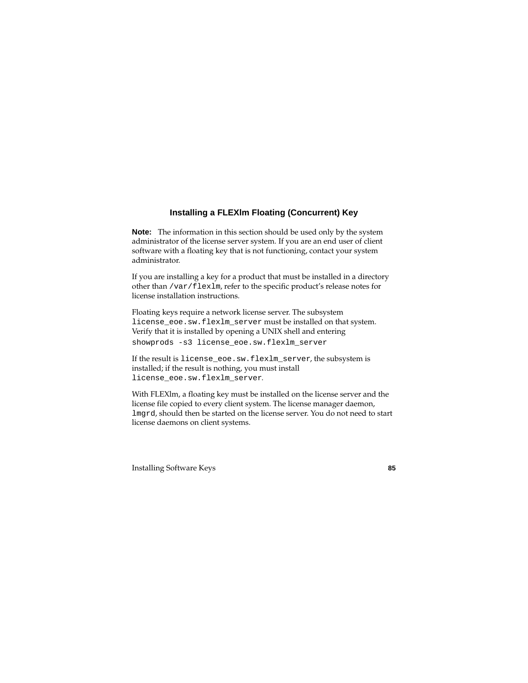# **Installing a FLEXlm Floating (Concurrent) Key**

**Note:** The information in this section should be used only by the system administrator of the license server system. If you are an end user of client software with a floating key that is not functioning, contact your system administrator.

If you are installing a key for a product that must be installed in a directory other than /var/flexlm, refer to the specific product's release notes for license installation instructions.

Floating keys require a network license server. The subsystem license\_eoe.sw.flexlm\_server must be installed on that system. Verify that it is installed by opening a UNIX shell and entering showprods -s3 license eoe.sw.flexlm\_server

If the result is license eoe.sw.flexlm\_server, the subsystem is installed; if the result is nothing, you must install license\_eoe.sw.flexlm\_server.

With FLEXlm, a floating key must be installed on the license server and the license file copied to every client system. The license manager daemon, lmgrd, should then be started on the license server. You do not need to start license daemons on client systems.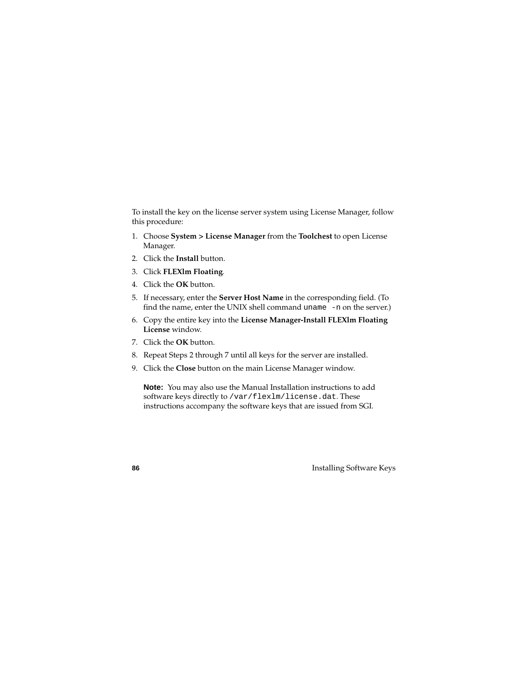To install the key on the license server system using License Manager, follow this procedure:

- 1. Choose **System > License Manager** from the **Toolchest** to open License Manager.
- 2. Click the **Install** button.
- 3. Click **FLEXlm Floating***.*
- 4. Click the **OK** button.
- 5. If necessary, enter the **Server Host Name** in the corresponding field. (To find the name, enter the UNIX shell command uname -n on the server.)
- 6. Copy the entire key into the **License Manager-Install FLEXlm Floating License** window.
- 7. Click the **OK** button.
- 8. Repeat Steps 2 through 7 until all keys for the server are installed.
- 9. Click the **Close** button on the main License Manager window.

**Note:** You may also use the Manual Installation instructions to add software keys directly to /var/flexlm/license.dat. These instructions accompany the software keys that are issued from SGI.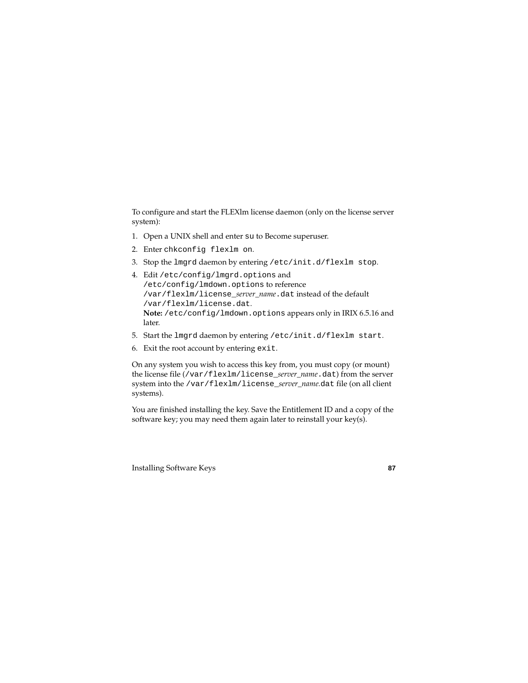To configure and start the FLEXlm license daemon (only on the license server system):

- 1. Open a UNIX shell and enter su to Become superuser.
- 2. Enter chkconfig flexlm on.
- 3. Stop the lmgrd daemon by entering /etc/init.d/flexlm stop.
- 4. Edit /etc/config/lmgrd.options and /etc/config/lmdown.options to reference /var/flexlm/license\_*server\_name*.dat instead of the default /var/flexlm/license.dat. **Note:** /etc/config/lmdown.options appears only in IRIX 6.5.16 and later.
- 5. Start the lmgrd daemon by entering /etc/init.d/flexlm start.
- 6. Exit the root account by entering exit.

On any system you wish to access this key from, you must copy (or mount) the license file (/var/flexlm/license\_*server\_name*.dat) from the server system into the /var/flexlm/license\_*server\_name.*dat file (on all client systems).

You are finished installing the key. Save the Entitlement ID and a copy of the software key; you may need them again later to reinstall your key(s).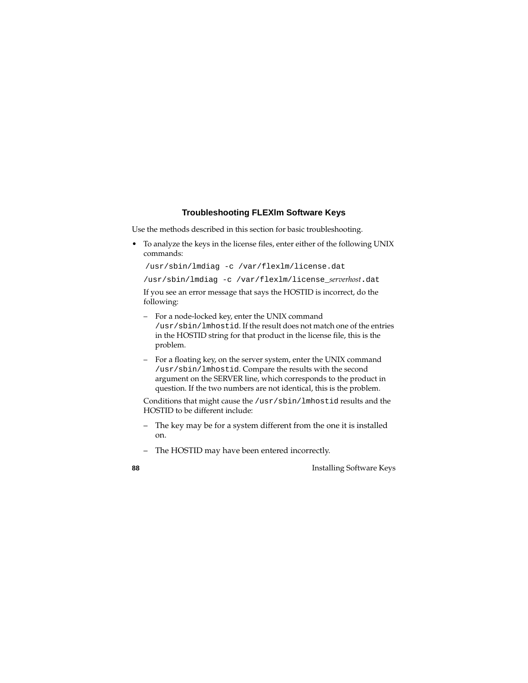## **Troubleshooting FLEXlm Software Keys**

Use the methods described in this section for basic troubleshooting.

• To analyze the keys in the license files, enter either of the following UNIX commands:

```
/usr/sbin/lmdiag -c /var/flexlm/license.dat
```

```
/usr/sbin/lmdiag -c /var/flexlm/license_serverhost.dat
```
If you see an error message that says the HOSTID is incorrect, do the following:

- For a node-locked key, enter the UNIX command /usr/sbin/lmhostid. If the result does not match one of the entries in the HOSTID string for that product in the license file, this is the problem.
- For a floating key, on the server system, enter the UNIX command /usr/sbin/lmhostid. Compare the results with the second argument on the SERVER line, which corresponds to the product in question. If the two numbers are not identical, this is the problem.

Conditions that might cause the /usr/sbin/lmhostid results and the HOSTID to be different include:

- The key may be for a system different from the one it is installed on.
- The HOSTID may have been entered incorrectly.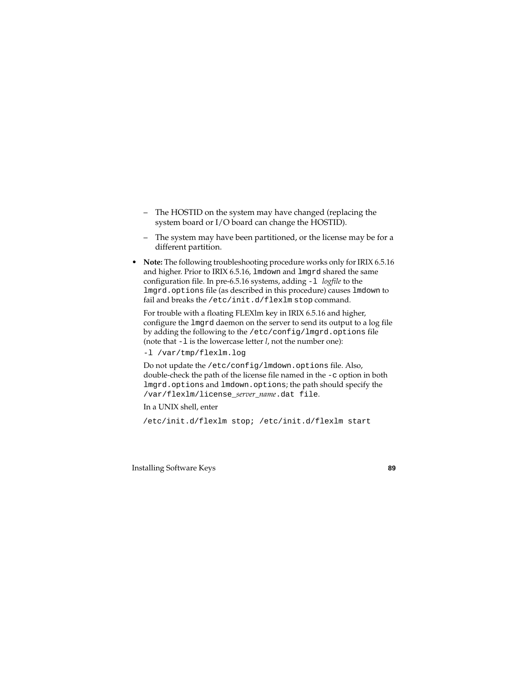- The HOSTID on the system may have changed (replacing the system board or I/O board can change the HOSTID).
- The system may have been partitioned, or the license may be for a different partition.
- **Note:** The following troubleshooting procedure works only for IRIX 6.5.16 and higher. Prior to IRIX 6.5.16, lmdown and lmgrd shared the same configuration file. In pre-6.5.16 systems, adding -l *logfile* to the lmgrd.options file (as described in this procedure) causes lmdown to fail and breaks the /etc/init.d/flexlm stop command.

For trouble with a floating FLEXlm key in IRIX 6.5.16 and higher, configure the lmgrd daemon on the server to send its output to a log file by adding the following to the /etc/config/lmgrd.options file (note that -l is the lowercase letter *l*, not the number one):

-l /var/tmp/flexlm.log

Do not update the /etc/config/lmdown.options file. Also, double-check the path of the license file named in the -c option in both lmgrd.options and lmdown.options; the path should specify the /var/flexlm/license\_*server\_name*.dat file.

In a UNIX shell, enter

/etc/init.d/flexlm stop; /etc/init.d/flexlm start

#### Installing Software Keys **89**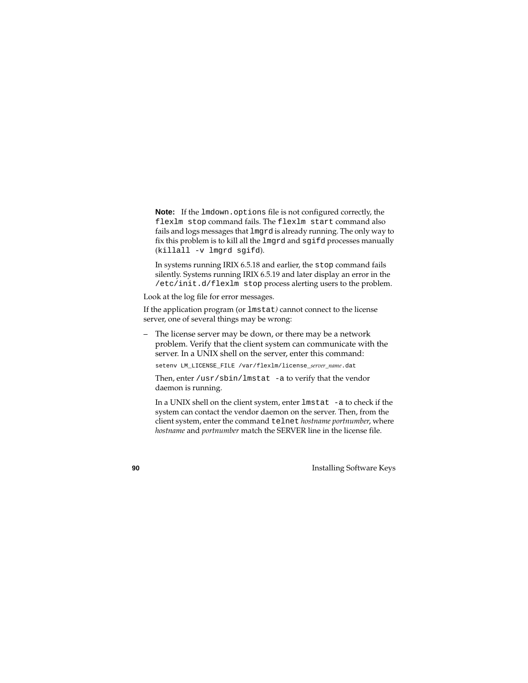**Note:** If the lmdown.options file is not configured correctly, the flexlm stop command fails. The flexlm start command also fails and logs messages that lmgrd is already running. The only way to fix this problem is to kill all the lmgrd and sgifd processes manually (killall -v lmgrd sgifd).

In systems running IRIX 6.5.18 and earlier, the stop command fails silently. Systems running IRIX 6.5.19 and later display an error in the /etc/init.d/flexlm stop process alerting users to the problem.

Look at the log file for error messages.

If the application program (or lmstat*)* cannot connect to the license server, one of several things may be wrong:

– The license server may be down, or there may be a network problem. Verify that the client system can communicate with the server. In a UNIX shell on the server, enter this command:

setenv LM\_LICENSE\_FILE /var/flexlm/license**\_***server\_name*.dat

Then, enter /usr/sbin/lmstat -a to verify that the vendor daemon is running.

In a UNIX shell on the client system, enter lmstat -a to check if the system can contact the vendor daemon on the server. Then, from the client system, enter the command telnet *hostname portnumber*, where *hostname* and *portnumber* match the SERVER line in the license file.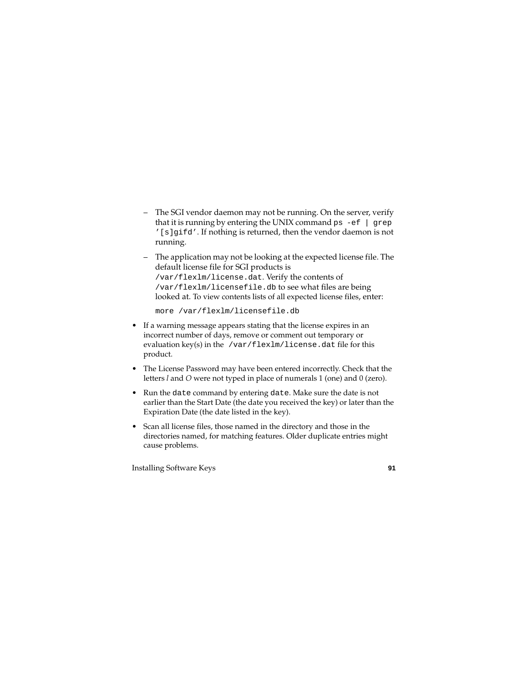- The SGI vendor daemon may not be running. On the server, verify that it is running by entering the UNIX command  $ps -ef$  | grep '[s]gifd'. If nothing is returned, then the vendor daemon is not running.
- The application may not be looking at the expected license file. The default license file for SGI products is /var/flexlm/license.dat. Verify the contents of /var/flexlm/licensefile.db to see what files are being looked at. To view contents lists of all expected license files, enter:

more /var/flexlm/licensefile.db

- If a warning message appears stating that the license expires in an incorrect number of days, remove or comment out temporary or evaluation key(s) in the /var/flexlm/license.dat file for this product.
- The License Password may have been entered incorrectly. Check that the letters *l* and *O* were not typed in place of numerals 1 (one) and 0 (zero).
- Run the date command by entering date. Make sure the date is not earlier than the Start Date (the date you received the key) or later than the Expiration Date (the date listed in the key).
- Scan all license files, those named in the directory and those in the directories named, for matching features. Older duplicate entries might cause problems.

Installing Software Keys **91**